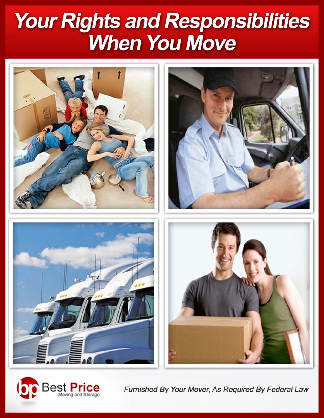# Your Rights and Responsibilities **When You Move**



Best Pri

(b

Furnished By Your Mover, As Required By Federal Law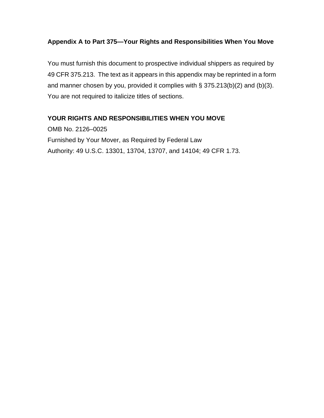#### **Appendix A to Part 375—Your Rights and Responsibilities When You Move**

You must furnish this document to prospective individual shippers as required by 49 CFR 375.213. The text as it appears in this appendix may be reprinted in a form and manner chosen by you, provided it complies with § 375.213(b)(2) and (b)(3). You are not required to italicize titles of sections.

#### **YOUR RIGHTS AND RESPONSIBILITIES WHEN YOU MOVE**

OMB No. 2126–0025 Furnished by Your Mover, as Required by Federal Law Authority: 49 U.S.C. 13301, 13704, 13707, and 14104; 49 CFR 1.73.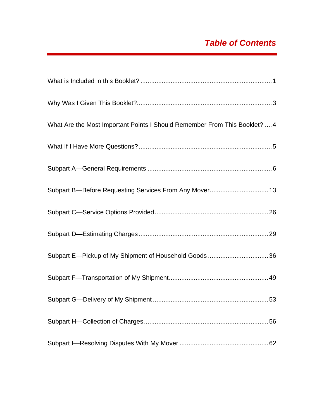# *Table of Contents*

| What Are the Most Important Points I Should Remember From This Booklet?  4 |
|----------------------------------------------------------------------------|
|                                                                            |
|                                                                            |
|                                                                            |
|                                                                            |
|                                                                            |
|                                                                            |
|                                                                            |
|                                                                            |
|                                                                            |
|                                                                            |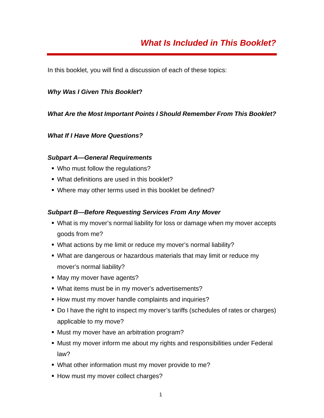In this booklet, you will find a discussion of each of these topics:

#### *Why Was I Given This Booklet***?**

#### *What Are the Most Important Points I Should Remember From This Booklet?*

#### *What If I Have More Questions?*

#### *Subpart A—General Requirements*

- Who must follow the regulations?
- What definitions are used in this booklet?
- Where may other terms used in this booklet be defined?

#### *Subpart B—Before Requesting Services From Any Mover*

- What is my mover's normal liability for loss or damage when my mover accepts goods from me?
- What actions by me limit or reduce my mover's normal liability?
- What are dangerous or hazardous materials that may limit or reduce my mover's normal liability?
- May my mover have agents?
- What items must be in my mover's advertisements?
- **How must my mover handle complaints and inquiries?**
- Do I have the right to inspect my mover's tariffs (schedules of rates or charges) applicable to my move?
- **Must my mover have an arbitration program?**
- Must my mover inform me about my rights and responsibilities under Federal law?
- What other information must my mover provide to me?
- **How must my mover collect charges?**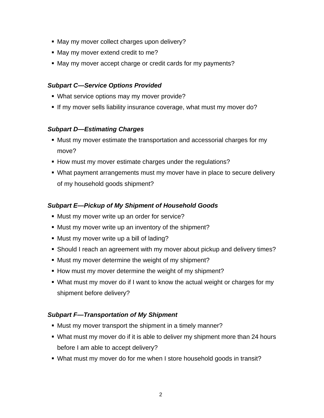- May my mover collect charges upon delivery?
- May my mover extend credit to me?
- May my mover accept charge or credit cards for my payments?

#### *Subpart C—Service Options Provided*

- What service options may my mover provide?
- If my mover sells liability insurance coverage, what must my mover do?

#### *Subpart D—Estimating Charges*

- Must my mover estimate the transportation and accessorial charges for my move?
- How must my mover estimate charges under the regulations?
- What payment arrangements must my mover have in place to secure delivery of my household goods shipment?

## *Subpart E—Pickup of My Shipment of Household Goods*

- **Must my mover write up an order for service?**
- Must my mover write up an inventory of the shipment?
- Must my mover write up a bill of lading?
- Should I reach an agreement with my mover about pickup and delivery times?
- Must my mover determine the weight of my shipment?
- **How must my mover determine the weight of my shipment?**
- What must my mover do if I want to know the actual weight or charges for my shipment before delivery?

## *Subpart F—Transportation of My Shipment*

- Must my mover transport the shipment in a timely manner?
- What must my mover do if it is able to deliver my shipment more than 24 hours before I am able to accept delivery?
- What must my mover do for me when I store household goods in transit?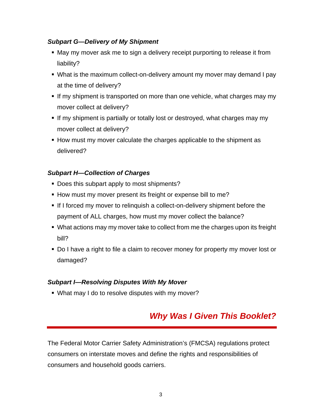#### *Subpart G—Delivery of My Shipment*

- May my mover ask me to sign a delivery receipt purporting to release it from liability?
- What is the maximum collect-on-delivery amount my mover may demand I pay at the time of delivery?
- If my shipment is transported on more than one vehicle, what charges may my mover collect at delivery?
- If my shipment is partially or totally lost or destroyed, what charges may my mover collect at delivery?
- How must my mover calculate the charges applicable to the shipment as delivered?

#### *Subpart H—Collection of Charges*

- Does this subpart apply to most shipments?
- **How must my mover present its freight or expense bill to me?**
- If I forced my mover to relinquish a collect-on-delivery shipment before the payment of ALL charges, how must my mover collect the balance?
- What actions may my mover take to collect from me the charges upon its freight bill?
- Do I have a right to file a claim to recover money for property my mover lost or damaged?

#### *Subpart I—Resolving Disputes With My Mover*

What may I do to resolve disputes with my mover?

# *Why Was I Given This Booklet?*

The Federal Motor Carrier Safety Administration's (FMCSA) regulations protect consumers on interstate moves and define the rights and responsibilities of consumers and household goods carriers.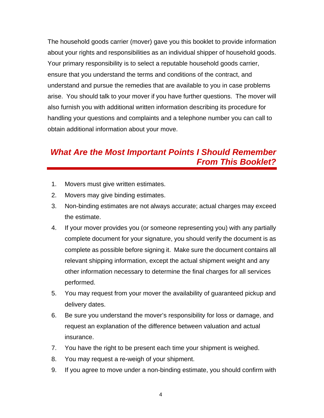The household goods carrier (mover) gave you this booklet to provide information about your rights and responsibilities as an individual shipper of household goods. Your primary responsibility is to select a reputable household goods carrier, ensure that you understand the terms and conditions of the contract, and understand and pursue the remedies that are available to you in case problems arise. You should talk to your mover if you have further questions. The mover will also furnish you with additional written information describing its procedure for handling your questions and complaints and a telephone number you can call to obtain additional information about your move.

# *What Are the Most Important Points I Should Remember From This Booklet?*

- 1. Movers must give written estimates.
- 2. Movers may give binding estimates.
- 3. Non-binding estimates are not always accurate; actual charges may exceed the estimate.
- 4. If your mover provides you (or someone representing you) with any partially complete document for your signature, you should verify the document is as complete as possible before signing it. Make sure the document contains all relevant shipping information, except the actual shipment weight and any other information necessary to determine the final charges for all services performed.
- 5. You may request from your mover the availability of guaranteed pickup and delivery dates.
- 6. Be sure you understand the mover's responsibility for loss or damage, and request an explanation of the difference between valuation and actual insurance.
- 7. You have the right to be present each time your shipment is weighed.
- 8. You may request a re-weigh of your shipment.
- 9. If you agree to move under a non-binding estimate, you should confirm with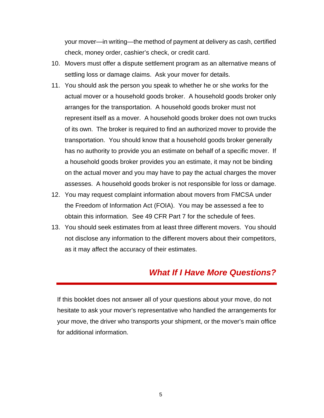your mover—in writing—the method of payment at delivery as cash, certified check, money order, cashier's check, or credit card.

- 10. Movers must offer a dispute settlement program as an alternative means of settling loss or damage claims. Ask your mover for details.
- 11. You should ask the person you speak to whether he or she works for the actual mover or a household goods broker. A household goods broker only arranges for the transportation. A household goods broker must not represent itself as a mover. A household goods broker does not own trucks of its own. The broker is required to find an authorized mover to provide the transportation. You should know that a household goods broker generally has no authority to provide you an estimate on behalf of a specific mover. If a household goods broker provides you an estimate, it may not be binding on the actual mover and you may have to pay the actual charges the mover assesses. A household goods broker is not responsible for loss or damage.
- 12. You may request complaint information about movers from FMCSA under the Freedom of Information Act (FOIA). You may be assessed a fee to obtain this information. See 49 CFR Part 7 for the schedule of fees.
- 13. You should seek estimates from at least three different movers. You should not disclose any information to the different movers about their competitors, as it may affect the accuracy of their estimates.

# *What If I Have More Questions?*

If this booklet does not answer all of your questions about your move, do not hesitate to ask your mover's representative who handled the arrangements for your move, the driver who transports your shipment, or the mover's main office for additional information.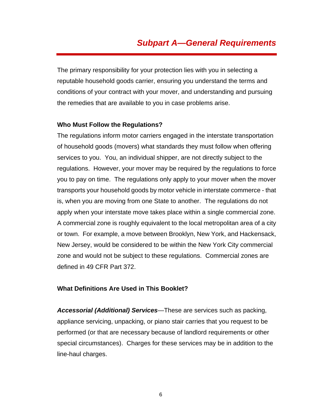# *Subpart A—General Requirements*

The primary responsibility for your protection lies with you in selecting a reputable household goods carrier, ensuring you understand the terms and conditions of your contract with your mover, and understanding and pursuing the remedies that are available to you in case problems arise.

#### **Who Must Follow the Regulations?**

The regulations inform motor carriers engaged in the interstate transportation of household goods (movers) what standards they must follow when offering services to you. You, an individual shipper, are not directly subject to the regulations. However, your mover may be required by the regulations to force you to pay on time. The regulations only apply to your mover when the mover transports your household goods by motor vehicle in interstate commerce - that is, when you are moving from one State to another. The regulations do not apply when your interstate move takes place within a single commercial zone. A commercial zone is roughly equivalent to the local metropolitan area of a city or town. For example, a move between Brooklyn, New York, and Hackensack, New Jersey, would be considered to be within the New York City commercial zone and would not be subject to these regulations. Commercial zones are defined in 49 CFR Part 372.

#### **What Definitions Are Used in This Booklet?**

*Accessorial (Additional) Services*—These are services such as packing, appliance servicing, unpacking, or piano stair carries that you request to be performed (or that are necessary because of landlord requirements or other special circumstances). Charges for these services may be in addition to the line-haul charges.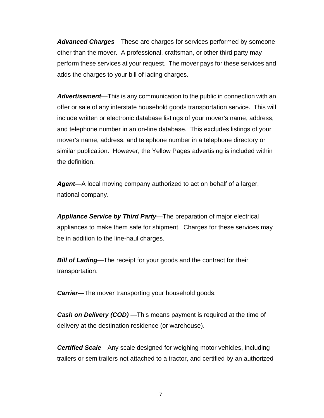*Advanced Charges*—These are charges for services performed by someone other than the mover. A professional, craftsman, or other third party may perform these services at your request. The mover pays for these services and adds the charges to your bill of lading charges.

*Advertisement*—This is any communication to the public in connection with an offer or sale of any interstate household goods transportation service. This will include written or electronic database listings of your mover's name, address, and telephone number in an on-line database. This excludes listings of your mover's name, address, and telephone number in a telephone directory or similar publication. However, the Yellow Pages advertising is included within the definition.

*Agent*—A local moving company authorized to act on behalf of a larger, national company.

*Appliance Service by Third Party*—The preparation of major electrical appliances to make them safe for shipment. Charges for these services may be in addition to the line-haul charges.

*Bill of Lading***—The receipt for your goods and the contract for their** transportation.

*Carrier***—The mover transporting your household goods.** 

*Cash on Delivery (COD)* —This means payment is required at the time of delivery at the destination residence (or warehouse).

*Certified Scale*—Any scale designed for weighing motor vehicles, including trailers or semitrailers not attached to a tractor, and certified by an authorized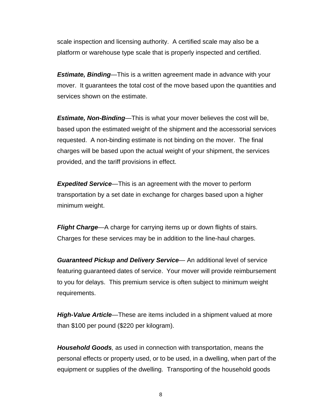scale inspection and licensing authority. A certified scale may also be a platform or warehouse type scale that is properly inspected and certified.

*Estimate, Binding*—This is a written agreement made in advance with your mover. It guarantees the total cost of the move based upon the quantities and services shown on the estimate.

*Estimate, Non-Binding*—This is what your mover believes the cost will be, based upon the estimated weight of the shipment and the accessorial services requested. A non-binding estimate is not binding on the mover. The final charges will be based upon the actual weight of your shipment, the services provided, and the tariff provisions in effect.

*Expedited Service*—This is an agreement with the mover to perform transportation by a set date in exchange for charges based upon a higher minimum weight.

*Flight Charge*—A charge for carrying items up or down flights of stairs. Charges for these services may be in addition to the line-haul charges.

*Guaranteed Pickup and Delivery Service*— An additional level of service featuring guaranteed dates of service. Your mover will provide reimbursement to you for delays. This premium service is often subject to minimum weight requirements.

*High-Value Article*—These are items included in a shipment valued at more than \$100 per pound (\$220 per kilogram).

*Household Goods,* as used in connection with transportation, means the personal effects or property used, or to be used, in a dwelling, when part of the equipment or supplies of the dwelling. Transporting of the household goods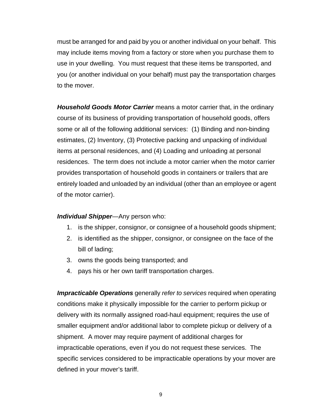must be arranged for and paid by you or another individual on your behalf. This may include items moving from a factory or store when you purchase them to use in your dwelling. You must request that these items be transported, and you (or another individual on your behalf) must pay the transportation charges to the mover.

*Household Goods Motor Carrier* means a motor carrier that, in the ordinary course of its business of providing transportation of household goods, offers some or all of the following additional services: (1) Binding and non-binding estimates, (2) Inventory, (3) Protective packing and unpacking of individual items at personal residences, and (4) Loading and unloading at personal residences. The term does not include a motor carrier when the motor carrier provides transportation of household goods in containers or trailers that are entirely loaded and unloaded by an individual (other than an employee or agent of the motor carrier).

#### *Individual Shipper*—Any person who:

- 1. is the shipper, consignor, or consignee of a household goods shipment;
- 2. is identified as the shipper, consignor, or consignee on the face of the bill of lading;
- 3. owns the goods being transported; and
- 4. pays his or her own tariff transportation charges.

*Impracticable Operations* generally *refer to services* required when operating conditions make it physically impossible for the carrier to perform pickup or delivery with its normally assigned road-haul equipment; requires the use of smaller equipment and/or additional labor to complete pickup or delivery of a shipment. A mover may require payment of additional charges for impracticable operations, even if you do not request these services. The specific services considered to be impracticable operations by your mover are defined in your mover's tariff.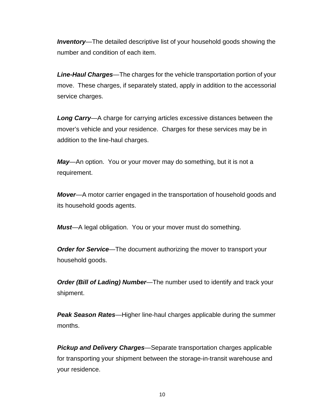*Inventory*—The detailed descriptive list of your household goods showing the number and condition of each item.

*Line-Haul Charges*—The charges for the vehicle transportation portion of your move. These charges, if separately stated, apply in addition to the accessorial service charges.

*Long Carry*—A charge for carrying articles excessive distances between the mover's vehicle and your residence. Charges for these services may be in addition to the line-haul charges.

*May*—An option. You or your mover may do something, but it is not a requirement.

*Mover*—A motor carrier engaged in the transportation of household goods and its household goods agents.

*Must*—A legal obligation. You or your mover must do something.

**Order for Service**—The document authorizing the mover to transport your household goods.

*Order (Bill of Lading) Number*—The number used to identify and track your shipment.

*Peak Season Rates*—Higher line-haul charges applicable during the summer months.

*Pickup and Delivery Charges*—Separate transportation charges applicable for transporting your shipment between the storage-in-transit warehouse and your residence.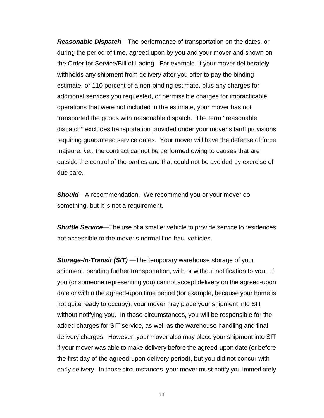*Reasonable Dispatch*—The performance of transportation on the dates, or during the period of time, agreed upon by you and your mover and shown on the Order for Service/Bill of Lading. For example, if your mover deliberately withholds any shipment from delivery after you offer to pay the binding estimate, or 110 percent of a non-binding estimate, plus any charges for additional services you requested, or permissible charges for impracticable operations that were not included in the estimate, your mover has not transported the goods with reasonable dispatch. The term ''reasonable dispatch'' excludes transportation provided under your mover's tariff provisions requiring guaranteed service dates. Your mover will have the defense of force majeure, *i.e.*, the contract cannot be performed owing to causes that are outside the control of the parties and that could not be avoided by exercise of due care.

*Should*—A recommendation. We recommend you or your mover do something, but it is not a requirement.

*Shuttle Service*—The use of a smaller vehicle to provide service to residences not accessible to the mover's normal line-haul vehicles.

*Storage-In-Transit (SIT)* —The temporary warehouse storage of your shipment, pending further transportation, with or without notification to you. If you (or someone representing you) cannot accept delivery on the agreed-upon date or within the agreed-upon time period (for example, because your home is not quite ready to occupy), your mover may place your shipment into SIT without notifying you. In those circumstances, you will be responsible for the added charges for SIT service, as well as the warehouse handling and final delivery charges. However, your mover also may place your shipment into SIT if your mover was able to make delivery before the agreed-upon date (or before the first day of the agreed-upon delivery period), but you did not concur with early delivery. In those circumstances, your mover must notify you immediately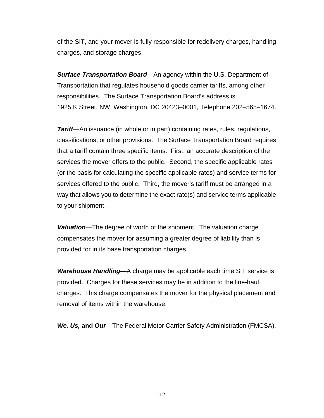of the SIT, and your mover is fully responsible for redelivery charges, handling charges, and storage charges.

*Surface Transportation Board*—An agency within the U.S. Department of Transportation that regulates household goods carrier tariffs, among other responsibilities. The Surface Transportation Board's address is 1925 K Street, NW, Washington, DC 20423–0001, Telephone 202–565–1674.

*Tariff***—**An issuance (in whole or in part) containing rates, rules, regulations, classifications, or other provisions. The Surface Transportation Board requires that a tariff contain three specific items. First, an accurate description of the services the mover offers to the public. Second, the specific applicable rates (or the basis for calculating the specific applicable rates) and service terms for services offered to the public. Third, the mover's tariff must be arranged in a way that allows you to determine the exact rate(s) and service terms applicable to your shipment.

*Valuation*—The degree of worth of the shipment. The valuation charge compensates the mover for assuming a greater degree of liability than is provided for in its base transportation charges.

*Warehouse Handling*—A charge may be applicable each time SIT service is provided.Charges for these services may be in addition to the line-haul charges. This charge compensates the mover for the physical placement and removal of items within the warehouse.

*We, Us,* **and** *Our*—The Federal Motor Carrier Safety Administration (FMCSA).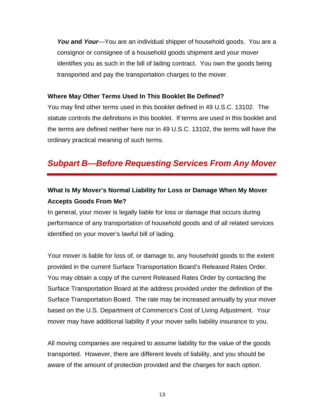*You* **and** *Your*—You are an individual shipper of household goods. You are a consignor or consignee of a household goods shipment and your mover identifies you as such in the bill of lading contract. You own the goods being transported and pay the transportation charges to the mover.

#### **Where May Other Terms Used In This Booklet Be Defined?**

You may find other terms used in this booklet defined in 49 U.S.C. 13102. The statute controls the definitions in this booklet. If terms are used in this booklet and the terms are defined neither here nor in 49 U.S.C. 13102, the terms will have the ordinary practical meaning of such terms.

# *Subpart B—Before Requesting Services From Any Mover*

## **What Is My Mover's Normal Liability for Loss or Damage When My Mover Accepts Goods From Me?**

In general, your mover is legally liable for loss or damage that occurs during performance of any transportation of household goods and of all related services identified on your mover's lawful bill of lading.

Your mover is liable for loss of, or damage to, any household goods to the extent provided in the current Surface Transportation Board's Released Rates Order. You may obtain a copy of the current Released Rates Order by contacting the Surface Transportation Board at the address provided under the definition of the Surface Transportation Board. The rate may be increased annually by your mover based on the U.S. Department of Commerce's Cost of Living Adjustment. Your mover may have additional liability if your mover sells liability insurance to you.

All moving companies are required to assume liability for the value of the goods transported. However, there are different levels of liability, and you should be aware of the amount of protection provided and the charges for each option.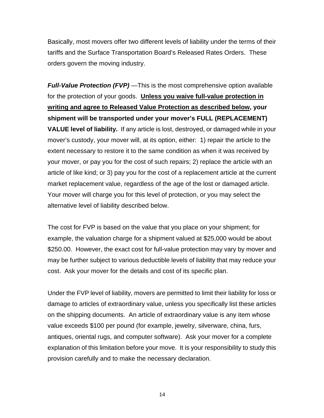Basically, most movers offer two different levels of liability under the terms of their tariffs and the Surface Transportation Board's Released Rates Orders. These orders govern the moving industry.

*Full-Value Protection (FVP)* —This is the most comprehensive option available for the protection of your goods. **Unless you waive full-value protection in writing and agree to Released Value Protection as described below, your shipment will be transported under your mover's FULL (REPLACEMENT) VALUE level of liability.** If any article is lost, destroyed, or damaged while in your mover's custody, your mover will, at its option, either: 1) repair the article to the extent necessary to restore it to the same condition as when it was received by your mover, or pay you for the cost of such repairs; 2) replace the article with an article of like kind; or 3) pay you for the cost of a replacement article at the current market replacement value, regardless of the age of the lost or damaged article. Your mover will charge you for this level of protection, or you may select the alternative level of liability described below.

The cost for FVP is based on the value that you place on your shipment; for example, the valuation charge for a shipment valued at \$25,000 would be about \$250.00. However, the exact cost for full-value protection may vary by mover and may be further subject to various deductible levels of liability that may reduce your cost. Ask your mover for the details and cost of its specific plan.

Under the FVP level of liability, movers are permitted to limit their liability for loss or damage to articles of extraordinary value, unless you specifically list these articles on the shipping documents. An article of extraordinary value is any item whose value exceeds \$100 per pound (for example, jewelry, silverware, china, furs, antiques, oriental rugs, and computer software). Ask your mover for a complete explanation of this limitation before your move. It is your responsibility to study this provision carefully and to make the necessary declaration.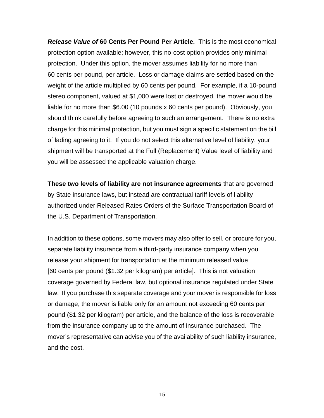*Release Value of* **60 Cents Per Pound Per Article.** This is the most economical protection option available; however, this no-cost option provides only minimal protection. Under this option, the mover assumes liability for no more than 60 cents per pound, per article. Loss or damage claims are settled based on the weight of the article multiplied by 60 cents per pound. For example, if a 10-pound stereo component, valued at \$1,000 were lost or destroyed, the mover would be liable for no more than \$6.00 (10 pounds x 60 cents per pound). Obviously, you should think carefully before agreeing to such an arrangement. There is no extra charge for this minimal protection, but you must sign a specific statement on the bill of lading agreeing to it. If you do not select this alternative level of liability, your shipment will be transported at the Full (Replacement) Value level of liability and you will be assessed the applicable valuation charge.

**These two levels of liability are not insurance agreements** that are governed by State insurance laws, but instead are contractual tariff levels of liability authorized under Released Rates Orders of the Surface Transportation Board of the U.S. Department of Transportation.

In addition to these options, some movers may also offer to sell, or procure for you, separate liability insurance from a third-party insurance company when you release your shipment for transportation at the minimum released value [60 cents per pound (\$1.32 per kilogram) per article]. This is not valuation coverage governed by Federal law, but optional insurance regulated under State law. If you purchase this separate coverage and your mover is responsible for loss or damage, the mover is liable only for an amount not exceeding 60 cents per pound (\$1.32 per kilogram) per article, and the balance of the loss is recoverable from the insurance company up to the amount of insurance purchased. The mover's representative can advise you of the availability of such liability insurance, and the cost.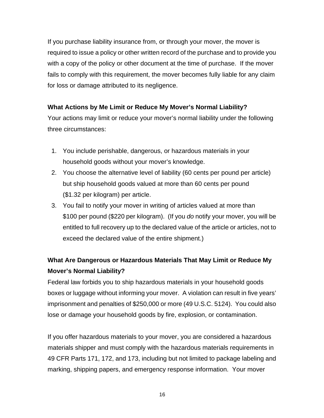If you purchase liability insurance from, or through your mover, the mover is required to issue a policy or other written record of the purchase and to provide you with a copy of the policy or other document at the time of purchase. If the mover fails to comply with this requirement, the mover becomes fully liable for any claim for loss or damage attributed to its negligence.

#### **What Actions by Me Limit or Reduce My Mover's Normal Liability?**

Your actions may limit or reduce your mover's normal liability under the following three circumstances:

- 1. You include perishable, dangerous, or hazardous materials in your household goods without your mover's knowledge.
- 2. You choose the alternative level of liability (60 cents per pound per article) but ship household goods valued at more than 60 cents per pound (\$1.32 per kilogram) per article.
- 3. You fail to notify your mover in writing of articles valued at more than \$100 per pound (\$220 per kilogram). (If you *do* notify your mover, you will be entitled to full recovery up to the declared value of the article or articles, not to exceed the declared value of the entire shipment.)

# **What Are Dangerous or Hazardous Materials That May Limit or Reduce My Mover's Normal Liability?**

Federal law forbids you to ship hazardous materials in your household goods boxes or luggage without informing your mover. A violation can result in five years' imprisonment and penalties of \$250,000 or more (49 U.S.C. 5124). You could also lose or damage your household goods by fire, explosion, or contamination.

If you offer hazardous materials to your mover, you are considered a hazardous materials shipper and must comply with the hazardous materials requirements in 49 CFR Parts 171, 172, and 173, including but not limited to package labeling and marking, shipping papers, and emergency response information. Your mover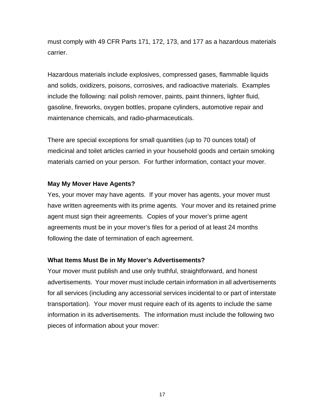must comply with 49 CFR Parts 171, 172, 173, and 177 as a hazardous materials carrier.

Hazardous materials include explosives, compressed gases, flammable liquids and solids, oxidizers, poisons, corrosives, and radioactive materials. Examples include the following: nail polish remover, paints, paint thinners, lighter fluid, gasoline, fireworks, oxygen bottles, propane cylinders, automotive repair and maintenance chemicals, and radio-pharmaceuticals.

There are special exceptions for small quantities (up to 70 ounces total) of medicinal and toilet articles carried in your household goods and certain smoking materials carried on your person. For further information, contact your mover.

#### **May My Mover Have Agents?**

Yes, your mover may have agents. If your mover has agents, your mover must have written agreements with its prime agents. Your mover and its retained prime agent must sign their agreements. Copies of your mover's prime agent agreements must be in your mover's files for a period of at least 24 months following the date of termination of each agreement.

#### **What Items Must Be in My Mover's Advertisements?**

Your mover must publish and use only truthful, straightforward, and honest advertisements. Your mover must include certain information in all advertisements for all services (including any accessorial services incidental to or part of interstate transportation). Your mover must require each of its agents to include the same information in its advertisements. The information must include the following two pieces of information about your mover: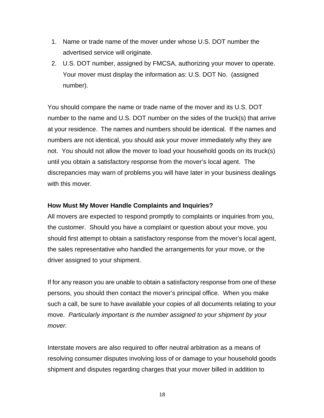- 1. Name or trade name of the mover under whose U.S. DOT number the advertised service will originate.
- 2. U.S. DOT number, assigned by FMCSA, authorizing your mover to operate. Your mover must display the information as: U.S. DOT No. (assigned number).

You should compare the name or trade name of the mover and its U.S. DOT number to the name and U.S. DOT number on the sides of the truck(s) that arrive at your residence. The names and numbers should be identical. If the names and numbers are not identical, you should ask your mover immediately why they are not. You should not allow the mover to load your household goods on its truck(s) until you obtain a satisfactory response from the mover's local agent. The discrepancies may warn of problems you will have later in your business dealings with this mover.

#### **How Must My Mover Handle Complaints and Inquiries?**

All movers are expected to respond promptly to complaints or inquiries from you, the customer. Should you have a complaint or question about your move, you should first attempt to obtain a satisfactory response from the mover's local agent, the sales representative who handled the arrangements for your move, or the driver assigned to your shipment.

If for any reason you are unable to obtain a satisfactory response from one of these persons, you should then contact the mover's principal office. When you make such a call, be sure to have available your copies of all documents relating to your move. *Particularly important is the number assigned to your shipment by your mover.* 

Interstate movers are also required to offer neutral arbitration as a means of resolving consumer disputes involving loss of or damage to your household goods shipment and disputes regarding charges that your mover billed in addition to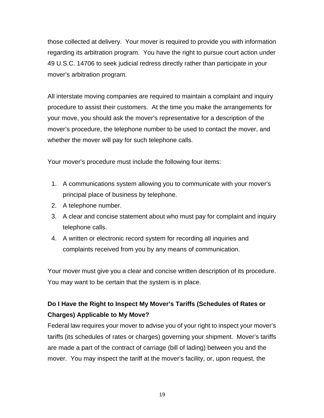those collected at delivery. Your mover is required to provide you with information regarding its arbitration program. You have the right to pursue court action under 49 U.S.C. 14706 to seek judicial redress directly rather than participate in your mover's arbitration program.

All interstate moving companies are required to maintain a complaint and inquiry procedure to assist their customers. At the time you make the arrangements for your move, you should ask the mover's representative for a description of the mover's procedure, the telephone number to be used to contact the mover, and whether the mover will pay for such telephone calls.

Your mover's procedure must include the following four items:

- 1. A communications system allowing you to communicate with your mover's principal place of business by telephone.
- 2. A telephone number.
- 3. A clear and concise statement about who must pay for complaint and inquiry telephone calls.
- 4. A written or electronic record system for recording all inquiries and complaints received from you by any means of communication.

Your mover must give you a clear and concise written description of its procedure. You may want to be certain that the system is in place.

# **Do I Have the Right to Inspect My Mover's Tariffs (Schedules of Rates or Charges) Applicable to My Move?**

Federal law requires your mover to advise you of your right to inspect your mover's tariffs (its schedules of rates or charges) governing your shipment. Mover's tariffs are made a part of the contract of carriage (bill of lading) between you and the mover. You may inspect the tariff at the mover's facility, or, upon request, the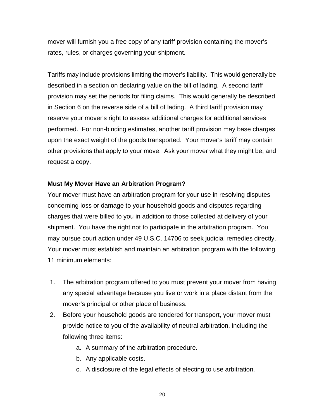mover will furnish you a free copy of any tariff provision containing the mover's rates, rules, or charges governing your shipment.

Tariffs may include provisions limiting the mover's liability. This would generally be described in a section on declaring value on the bill of lading. A second tariff provision may set the periods for filing claims. This would generally be described in Section 6 on the reverse side of a bill of lading. A third tariff provision may reserve your mover's right to assess additional charges for additional services performed. For non-binding estimates, another tariff provision may base charges upon the exact weight of the goods transported. Your mover's tariff may contain other provisions that apply to your move. Ask your mover what they might be, and request a copy.

#### **Must My Mover Have an Arbitration Program?**

Your mover must have an arbitration program for your use in resolving disputes concerning loss or damage to your household goods and disputes regarding charges that were billed to you in addition to those collected at delivery of your shipment. You have the right not to participate in the arbitration program. You may pursue court action under 49 U.S.C. 14706 to seek judicial remedies directly. Your mover must establish and maintain an arbitration program with the following 11 minimum elements:

- 1. The arbitration program offered to you must prevent your mover from having any special advantage because you live or work in a place distant from the mover's principal or other place of business.
- 2. Before your household goods are tendered for transport, your mover must provide notice to you of the availability of neutral arbitration, including the following three items:
	- a. A summary of the arbitration procedure.
	- b. Any applicable costs.
	- c. A disclosure of the legal effects of electing to use arbitration.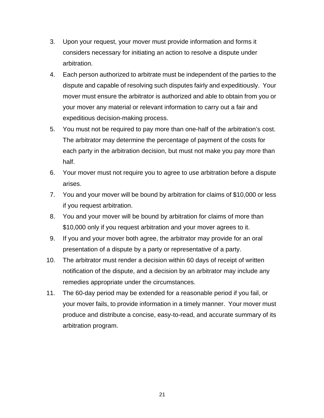- 3. Upon your request, your mover must provide information and forms it considers necessary for initiating an action to resolve a dispute under arbitration.
- 4. Each person authorized to arbitrate must be independent of the parties to the dispute and capable of resolving such disputes fairly and expeditiously. Your mover must ensure the arbitrator is authorized and able to obtain from you or your mover any material or relevant information to carry out a fair and expeditious decision-making process.
- 5. You must not be required to pay more than one-half of the arbitration's cost. The arbitrator may determine the percentage of payment of the costs for each party in the arbitration decision, but must not make you pay more than half.
- 6. Your mover must not require you to agree to use arbitration before a dispute arises.
- 7. You and your mover will be bound by arbitration for claims of \$10,000 or less if you request arbitration.
- 8. You and your mover will be bound by arbitration for claims of more than \$10,000 only if you request arbitration and your mover agrees to it.
- 9. If you and your mover both agree, the arbitrator may provide for an oral presentation of a dispute by a party or representative of a party.
- 10. The arbitrator must render a decision within 60 days of receipt of written notification of the dispute, and a decision by an arbitrator may include any remedies appropriate under the circumstances.
- 11. The 60-day period may be extended for a reasonable period if you fail, or your mover fails, to provide information in a timely manner. Your mover must produce and distribute a concise, easy-to-read, and accurate summary of its arbitration program.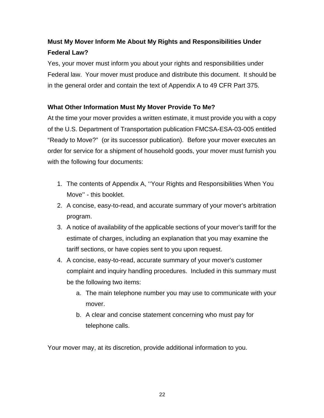# **Must My Mover Inform Me About My Rights and Responsibilities Under Federal Law?**

Yes, your mover must inform you about your rights and responsibilities under Federal law. Your mover must produce and distribute this document. It should be in the general order and contain the text of Appendix A to 49 CFR Part 375.

#### **What Other Information Must My Mover Provide To Me?**

At the time your mover provides a written estimate, it must provide you with a copy of the U.S. Department of Transportation publication FMCSA-ESA-03-005 entitled "Ready to Move?" (or its successor publication). Before your mover executes an order for service for a shipment of household goods, your mover must furnish you with the following four documents:

- 1. The contents of Appendix A, ''Your Rights and Responsibilities When You Move'' - this booklet.
- 2. A concise, easy-to-read, and accurate summary of your mover's arbitration program.
- 3. A notice of availability of the applicable sections of your mover's tariff for the estimate of charges, including an explanation that you may examine the tariff sections, or have copies sent to you upon request.
- 4. A concise, easy-to-read, accurate summary of your mover's customer complaint and inquiry handling procedures. Included in this summary must be the following two items:
	- a. The main telephone number you may use to communicate with your mover.
	- b. A clear and concise statement concerning who must pay for telephone calls.

Your mover may, at its discretion, provide additional information to you.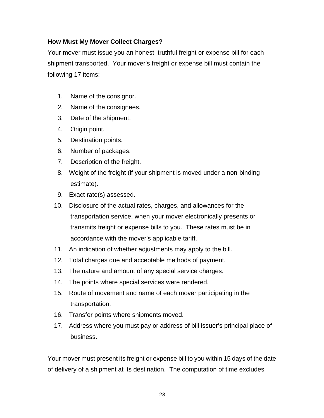#### **How Must My Mover Collect Charges?**

Your mover must issue you an honest, truthful freight or expense bill for each shipment transported. Your mover's freight or expense bill must contain the following 17 items:

- 1. Name of the consignor.
- 2. Name of the consignees.
- 3. Date of the shipment.
- 4. Origin point.
- 5. Destination points.
- 6. Number of packages.
- 7. Description of the freight.
- 8. Weight of the freight (if your shipment is moved under a non-binding estimate).
- 9. Exact rate(s) assessed.
- 10. Disclosure of the actual rates, charges, and allowances for the transportation service, when your mover electronically presents or transmits freight or expense bills to you. These rates must be in accordance with the mover's applicable tariff.
- 11. An indication of whether adjustments may apply to the bill.
- 12. Total charges due and acceptable methods of payment.
- 13. The nature and amount of any special service charges.
- 14. The points where special services were rendered.
- 15. Route of movement and name of each mover participating in the transportation.
- 16. Transfer points where shipments moved.
- 17. Address where you must pay or address of bill issuer's principal place of business.

Your mover must present its freight or expense bill to you within 15 days of the date of delivery of a shipment at its destination. The computation of time excludes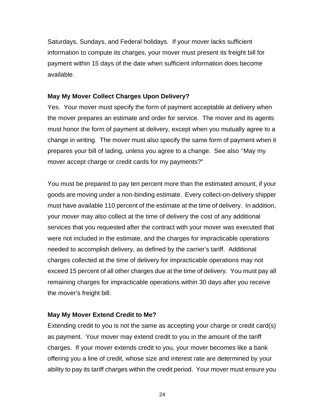Saturdays, Sundays, and Federal holidays. If your mover lacks sufficient information to compute its charges, your mover must present its freight bill for payment within 15 days of the date when sufficient information does become available.

#### **May My Mover Collect Charges Upon Delivery?**

Yes. Your mover must specify the form of payment acceptable at delivery when the mover prepares an estimate and order for service. The mover and its agents must honor the form of payment at delivery, except when you mutually agree to a change in writing. The mover must also specify the same form of payment when it prepares your bill of lading, unless you agree to a change. See also ''May my mover accept charge or credit cards for my payments?"

You must be prepared to pay ten percent more than the estimated amount, if your goods are moving under a non-binding estimate. Every collect-on-delivery shipper must have available 110 percent of the estimate at the time of delivery. In addition, your mover may also collect at the time of delivery the cost of any additional services that you requested after the contract with your mover was executed that were not included in the estimate, and the charges for impracticable operations needed to accomplish delivery, as defined by the carrier's tariff. Additional charges collected at the time of delivery for impracticable operations may not exceed 15 percent of all other charges due at the time of delivery. You must pay all remaining charges for impracticable operations within 30 days after you receive the mover's freight bill.

#### **May My Mover Extend Credit to Me?**

Extending credit to you is not the same as accepting your charge or credit card(s) as payment. Your mover may extend credit to you in the amount of the tariff charges. If your mover extends credit to you, your mover becomes like a bank offering you a line of credit, whose size and interest rate are determined by your ability to pay its tariff charges within the credit period. Your mover must ensure you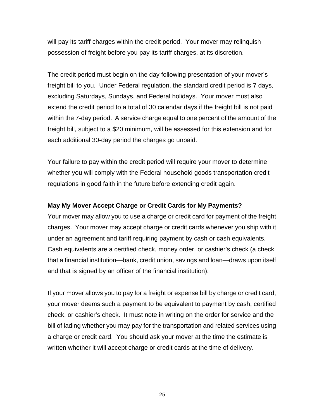will pay its tariff charges within the credit period. Your mover may relinquish possession of freight before you pay its tariff charges, at its discretion.

The credit period must begin on the day following presentation of your mover's freight bill to you. Under Federal regulation, the standard credit period is 7 days, excluding Saturdays, Sundays, and Federal holidays. Your mover must also extend the credit period to a total of 30 calendar days if the freight bill is not paid within the 7-day period. A service charge equal to one percent of the amount of the freight bill, subject to a \$20 minimum, will be assessed for this extension and for each additional 30-day period the charges go unpaid.

Your failure to pay within the credit period will require your mover to determine whether you will comply with the Federal household goods transportation credit regulations in good faith in the future before extending credit again.

#### **May My Mover Accept Charge or Credit Cards for My Payments?**

Your mover may allow you to use a charge or credit card for payment of the freight charges. Your mover may accept charge or credit cards whenever you ship with it under an agreement and tariff requiring payment by cash or cash equivalents. Cash equivalents are a certified check, money order, or cashier's check (a check that a financial institution—bank, credit union, savings and loan—draws upon itself and that is signed by an officer of the financial institution).

If your mover allows you to pay for a freight or expense bill by charge or credit card, your mover deems such a payment to be equivalent to payment by cash, certified check, or cashier's check. It must note in writing on the order for service and the bill of lading whether you may pay for the transportation and related services using a charge or credit card. You should ask your mover at the time the estimate is written whether it will accept charge or credit cards at the time of delivery.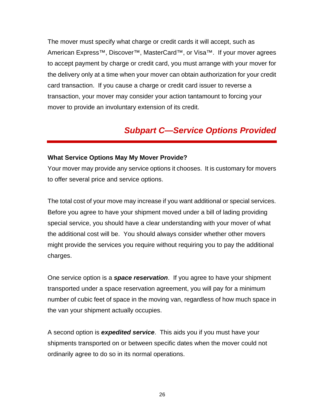The mover must specify what charge or credit cards it will accept, such as American Express<sup>™</sup>, Discover<sup>™</sup>, MasterCard<sup>™</sup>, or Visa<sup>™</sup>. If your mover agrees to accept payment by charge or credit card, you must arrange with your mover for the delivery only at a time when your mover can obtain authorization for your credit card transaction. If you cause a charge or credit card issuer to reverse a transaction, your mover may consider your action tantamount to forcing your mover to provide an involuntary extension of its credit.

# *Subpart C—Service Options Provided*

#### **What Service Options May My Mover Provide?**

Your mover may provide any service options it chooses. It is customary for movers to offer several price and service options.

The total cost of your move may increase if you want additional or special services. Before you agree to have your shipment moved under a bill of lading providing special service, you should have a clear understanding with your mover of what the additional cost will be. You should always consider whether other movers might provide the services you require without requiring you to pay the additional charges.

One service option is a *space reservation*. If you agree to have your shipment transported under a space reservation agreement, you will pay for a minimum number of cubic feet of space in the moving van, regardless of how much space in the van your shipment actually occupies.

A second option is *expedited service*. This aids you if you must have your shipments transported on or between specific dates when the mover could not ordinarily agree to do so in its normal operations.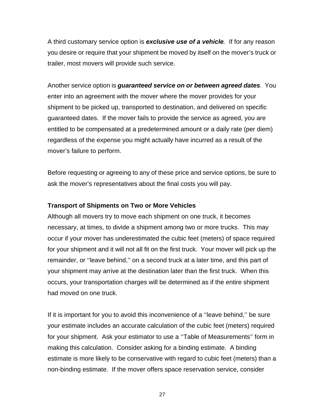A third customary service option is *exclusive use of a vehicle.* If for any reason you desire or require that your shipment be moved by itself on the mover's truck or trailer, most movers will provide such service.

Another service option is *guaranteed service on or between agreed dates.* You enter into an agreement with the mover where the mover provides for your shipment to be picked up, transported to destination, and delivered on specific guaranteed dates. If the mover fails to provide the service as agreed, you are entitled to be compensated at a predetermined amount or a daily rate (per diem) regardless of the expense you might actually have incurred as a result of the mover's failure to perform.

Before requesting or agreeing to any of these price and service options, be sure to ask the mover's representatives about the final costs you will pay.

#### **Transport of Shipments on Two or More Vehicles**

Although all movers try to move each shipment on one truck, it becomes necessary, at times, to divide a shipment among two or more trucks. This may occur if your mover has underestimated the cubic feet (meters) of space required for your shipment and it will not all fit on the first truck. Your mover will pick up the remainder, or ''leave behind,'' on a second truck at a later time, and this part of your shipment may arrive at the destination later than the first truck. When this occurs, your transportation charges will be determined as if the entire shipment had moved on one truck.

If it is important for you to avoid this inconvenience of a ''leave behind,'' be sure your estimate includes an accurate calculation of the cubic feet (meters) required for your shipment. Ask your estimator to use a ''Table of Measurements'' form in making this calculation. Consider asking for a binding estimate. A binding estimate is more likely to be conservative with regard to cubic feet (meters) than a non-binding estimate. If the mover offers space reservation service, consider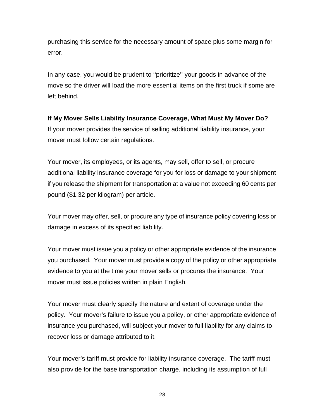purchasing this service for the necessary amount of space plus some margin for error.

In any case, you would be prudent to ''prioritize'' your goods in advance of the move so the driver will load the more essential items on the first truck if some are left behind.

**If My Mover Sells Liability Insurance Coverage, What Must My Mover Do?**  If your mover provides the service of selling additional liability insurance, your mover must follow certain regulations.

Your mover, its employees, or its agents, may sell, offer to sell, or procure additional liability insurance coverage for you for loss or damage to your shipment if you release the shipment for transportation at a value not exceeding 60 cents per pound (\$1.32 per kilogram) per article.

Your mover may offer, sell, or procure any type of insurance policy covering loss or damage in excess of its specified liability.

Your mover must issue you a policy or other appropriate evidence of the insurance you purchased. Your mover must provide a copy of the policy or other appropriate evidence to you at the time your mover sells or procures the insurance. Your mover must issue policies written in plain English.

Your mover must clearly specify the nature and extent of coverage under the policy. Your mover's failure to issue you a policy, or other appropriate evidence of insurance you purchased, will subject your mover to full liability for any claims to recover loss or damage attributed to it.

Your mover's tariff must provide for liability insurance coverage. The tariff must also provide for the base transportation charge, including its assumption of full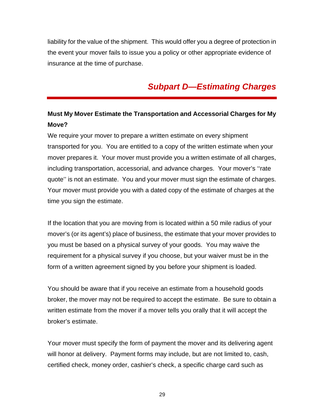liability for the value of the shipment. This would offer you a degree of protection in the event your mover fails to issue you a policy or other appropriate evidence of insurance at the time of purchase.

# *Subpart D—Estimating Charges*

## **Must My Mover Estimate the Transportation and Accessorial Charges for My Move?**

We require your mover to prepare a written estimate on every shipment transported for you. You are entitled to a copy of the written estimate when your mover prepares it. Your mover must provide you a written estimate of all charges, including transportation, accessorial, and advance charges. Your mover's ''rate quote'' is not an estimate. You and your mover must sign the estimate of charges. Your mover must provide you with a dated copy of the estimate of charges at the time you sign the estimate.

If the location that you are moving from is located within a 50 mile radius of your mover's (or its agent's) place of business, the estimate that your mover provides to you must be based on a physical survey of your goods. You may waive the requirement for a physical survey if you choose, but your waiver must be in the form of a written agreement signed by you before your shipment is loaded.

You should be aware that if you receive an estimate from a household goods broker, the mover may not be required to accept the estimate. Be sure to obtain a written estimate from the mover if a mover tells you orally that it will accept the broker's estimate.

Your mover must specify the form of payment the mover and its delivering agent will honor at delivery. Payment forms may include, but are not limited to, cash, certified check, money order, cashier's check, a specific charge card such as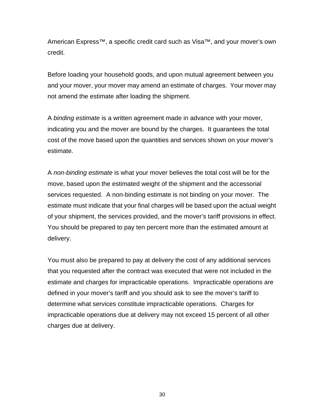American Express™, a specific credit card such as Visa™, and your mover's own credit.

Before loading your household goods, and upon mutual agreement between you and your mover, your mover may amend an estimate of charges. Your mover may not amend the estimate after loading the shipment.

A *binding estimate* is a written agreement made in advance with your mover, indicating you and the mover are bound by the charges. It guarantees the total cost of the move based upon the quantities and services shown on your mover's estimate.

A *non-binding estimate* is what your mover believes the total cost will be for the move, based upon the estimated weight of the shipment and the accessorial services requested. A non-binding estimate is not binding on your mover. The estimate must indicate that your final charges will be based upon the actual weight of your shipment, the services provided, and the mover's tariff provisions in effect. You should be prepared to pay ten percent more than the estimated amount at delivery.

You must also be prepared to pay at delivery the cost of any additional services that you requested after the contract was executed that were not included in the estimate and charges for impracticable operations. Impracticable operations are defined in your mover's tariff and you should ask to see the mover's tariff to determine what services constitute impracticable operations. Charges for impracticable operations due at delivery may not exceed 15 percent of all other charges due at delivery.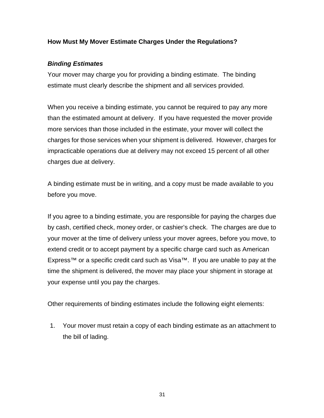#### **How Must My Mover Estimate Charges Under the Regulations?**

#### *Binding Estimates*

Your mover may charge you for providing a binding estimate. The binding estimate must clearly describe the shipment and all services provided.

When you receive a binding estimate, you cannot be required to pay any more than the estimated amount at delivery. If you have requested the mover provide more services than those included in the estimate, your mover will collect the charges for those services when your shipment is delivered. However, charges for impracticable operations due at delivery may not exceed 15 percent of all other charges due at delivery.

A binding estimate must be in writing, and a copy must be made available to you before you move.

If you agree to a binding estimate, you are responsible for paying the charges due by cash, certified check, money order, or cashier's check. The charges are due to your mover at the time of delivery unless your mover agrees, before you move, to extend credit or to accept payment by a specific charge card such as American Express™ or a specific credit card such as Visa™. If you are unable to pay at the time the shipment is delivered, the mover may place your shipment in storage at your expense until you pay the charges.

Other requirements of binding estimates include the following eight elements:

1. Your mover must retain a copy of each binding estimate as an attachment to the bill of lading.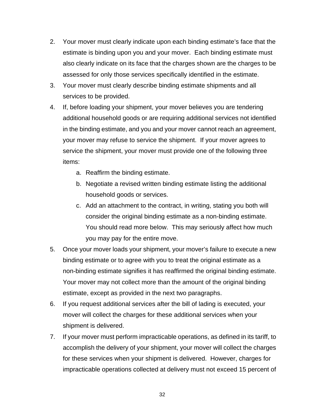- 2. Your mover must clearly indicate upon each binding estimate's face that the estimate is binding upon you and your mover. Each binding estimate must also clearly indicate on its face that the charges shown are the charges to be assessed for only those services specifically identified in the estimate.
- 3. Your mover must clearly describe binding estimate shipments and all services to be provided.
- 4. If, before loading your shipment, your mover believes you are tendering additional household goods or are requiring additional services not identified in the binding estimate, and you and your mover cannot reach an agreement, your mover may refuse to service the shipment. If your mover agrees to service the shipment, your mover must provide one of the following three items:
	- a. Reaffirm the binding estimate.
	- b. Negotiate a revised written binding estimate listing the additional household goods or services.
	- c. Add an attachment to the contract, in writing, stating you both will consider the original binding estimate as a non-binding estimate. You should read more below. This may seriously affect how much you may pay for the entire move.
- 5. Once your mover loads your shipment, your mover's failure to execute a new binding estimate or to agree with you to treat the original estimate as a non-binding estimate signifies it has reaffirmed the original binding estimate. Your mover may not collect more than the amount of the original binding estimate, except as provided in the next two paragraphs.
- 6. If you request additional services after the bill of lading is executed, your mover will collect the charges for these additional services when your shipment is delivered.
- 7. If your mover must perform impracticable operations, as defined in its tariff, to accomplish the delivery of your shipment, your mover will collect the charges for these services when your shipment is delivered. However, charges for impracticable operations collected at delivery must not exceed 15 percent of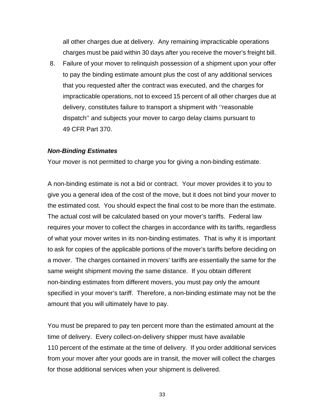all other charges due at delivery. Any remaining impracticable operations charges must be paid within 30 days after you receive the mover's freight bill.

8. Failure of your mover to relinquish possession of a shipment upon your offer to pay the binding estimate amount plus the cost of any additional services that you requested after the contract was executed, and the charges for impracticable operations, not to exceed 15 percent of all other charges due at delivery, constitutes failure to transport a shipment with ''reasonable dispatch'' and subjects your mover to cargo delay claims pursuant to 49 CFR Part 370.

#### *Non-Binding Estimates*

Your mover is not permitted to charge you for giving a non-binding estimate.

A non-binding estimate is not a bid or contract. Your mover provides it to you to give you a general idea of the cost of the move, but it does not bind your mover to the estimated cost. You should expect the final cost to be more than the estimate. The actual cost will be calculated based on your mover's tariffs. Federal law requires your mover to collect the charges in accordance with its tariffs, regardless of what your mover writes in its non-binding estimates. That is why it is important to ask for copies of the applicable portions of the mover's tariffs before deciding on a mover. The charges contained in movers' tariffs are essentially the same for the same weight shipment moving the same distance. If you obtain different non-binding estimates from different movers, you must pay only the amount specified in your mover's tariff. Therefore, a non-binding estimate may not be the amount that you will ultimately have to pay.

You must be prepared to pay ten percent more than the estimated amount at the time of delivery. Every collect-on-delivery shipper must have available 110 percent of the estimate at the time of delivery. If you order additional services from your mover after your goods are in transit, the mover will collect the charges for those additional services when your shipment is delivered.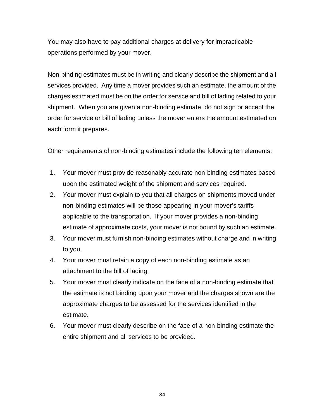You may also have to pay additional charges at delivery for impracticable operations performed by your mover.

Non-binding estimates must be in writing and clearly describe the shipment and all services provided. Any time a mover provides such an estimate, the amount of the charges estimated must be on the order for service and bill of lading related to your shipment. When you are given a non-binding estimate, do not sign or accept the order for service or bill of lading unless the mover enters the amount estimated on each form it prepares.

Other requirements of non-binding estimates include the following ten elements:

- 1. Your mover must provide reasonably accurate non-binding estimates based upon the estimated weight of the shipment and services required.
- 2. Your mover must explain to you that all charges on shipments moved under non-binding estimates will be those appearing in your mover's tariffs applicable to the transportation. If your mover provides a non-binding estimate of approximate costs, your mover is not bound by such an estimate.
- 3. Your mover must furnish non-binding estimates without charge and in writing to you.
- 4. Your mover must retain a copy of each non-binding estimate as an attachment to the bill of lading.
- 5. Your mover must clearly indicate on the face of a non-binding estimate that the estimate is not binding upon your mover and the charges shown are the approximate charges to be assessed for the services identified in the estimate.
- 6. Your mover must clearly describe on the face of a non-binding estimate the entire shipment and all services to be provided.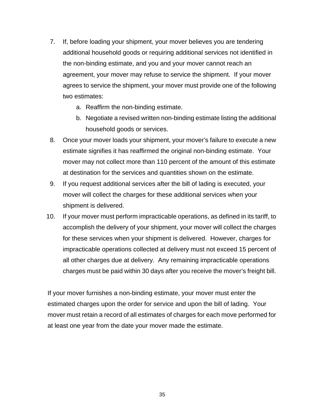- 7. If, before loading your shipment, your mover believes you are tendering additional household goods or requiring additional services not identified in the non-binding estimate, and you and your mover cannot reach an agreement, your mover may refuse to service the shipment. If your mover agrees to service the shipment, your mover must provide one of the following two estimates:
	- a. Reaffirm the non-binding estimate.
	- b. Negotiate a revised written non-binding estimate listing the additional household goods or services.
- 8. Once your mover loads your shipment, your mover's failure to execute a new estimate signifies it has reaffirmed the original non-binding estimate. Your mover may not collect more than 110 percent of the amount of this estimate at destination for the services and quantities shown on the estimate.
- 9. If you request additional services after the bill of lading is executed, your mover will collect the charges for these additional services when your shipment is delivered.
- 10. If your mover must perform impracticable operations, as defined in its tariff, to accomplish the delivery of your shipment, your mover will collect the charges for these services when your shipment is delivered. However, charges for impracticable operations collected at delivery must not exceed 15 percent of all other charges due at delivery. Any remaining impracticable operations charges must be paid within 30 days after you receive the mover's freight bill.

If your mover furnishes a non-binding estimate, your mover must enter the estimated charges upon the order for service and upon the bill of lading. Your mover must retain a record of all estimates of charges for each move performed for at least one year from the date your mover made the estimate.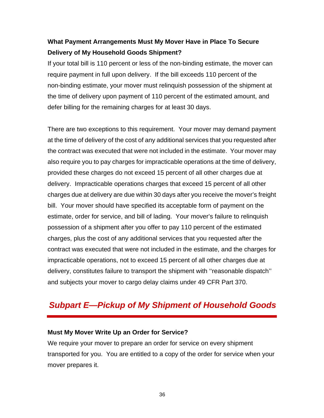## **What Payment Arrangements Must My Mover Have in Place To Secure Delivery of My Household Goods Shipment?**

If your total bill is 110 percent or less of the non-binding estimate, the mover can require payment in full upon delivery. If the bill exceeds 110 percent of the non-binding estimate, your mover must relinquish possession of the shipment at the time of delivery upon payment of 110 percent of the estimated amount, and defer billing for the remaining charges for at least 30 days.

There are two exceptions to this requirement. Your mover may demand payment at the time of delivery of the cost of any additional services that you requested after the contract was executed that were not included in the estimate. Your mover may also require you to pay charges for impracticable operations at the time of delivery, provided these charges do not exceed 15 percent of all other charges due at delivery. Impracticable operations charges that exceed 15 percent of all other charges due at delivery are due within 30 days after you receive the mover's freight bill. Your mover should have specified its acceptable form of payment on the estimate, order for service, and bill of lading. Your mover's failure to relinquish possession of a shipment after you offer to pay 110 percent of the estimated charges, plus the cost of any additional services that you requested after the contract was executed that were not included in the estimate, and the charges for impracticable operations, not to exceed 15 percent of all other charges due at delivery, constitutes failure to transport the shipment with ''reasonable dispatch'' and subjects your mover to cargo delay claims under 49 CFR Part 370.

# *Subpart E—Pickup of My Shipment of Household Goods*

#### **Must My Mover Write Up an Order for Service?**

We require your mover to prepare an order for service on every shipment transported for you. You are entitled to a copy of the order for service when your mover prepares it.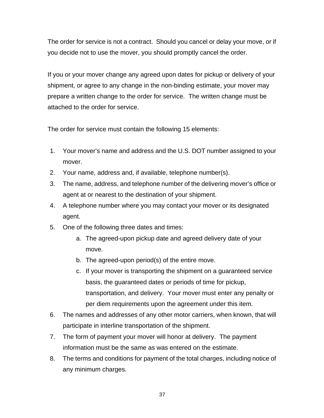The order for service is not a contract. Should you cancel or delay your move, or if you decide not to use the mover, you should promptly cancel the order.

If you or your mover change any agreed upon dates for pickup or delivery of your shipment, or agree to any change in the non-binding estimate, your mover may prepare a written change to the order for service. The written change must be attached to the order for service.

The order for service must contain the following 15 elements:

- 1. Your mover's name and address and the U.S. DOT number assigned to your mover.
- 2. Your name, address and, if available, telephone number(s).
- 3. The name, address, and telephone number of the delivering mover's office or agent at or nearest to the destination of your shipment.
- 4. A telephone number where you may contact your mover or its designated agent.
- 5. One of the following three dates and times:
	- a. The agreed-upon pickup date and agreed delivery date of your move.
	- b. The agreed-upon period(s) of the entire move.
	- c. If your mover is transporting the shipment on a guaranteed service basis, the guaranteed dates or periods of time for pickup, transportation, and delivery. Your mover must enter any penalty or per diem requirements upon the agreement under this item.
- 6. The names and addresses of any other motor carriers, when known, that will participate in interline transportation of the shipment.
- 7. The form of payment your mover will honor at delivery. The payment information must be the same as was entered on the estimate.
- 8. The terms and conditions for payment of the total charges, including notice of any minimum charges.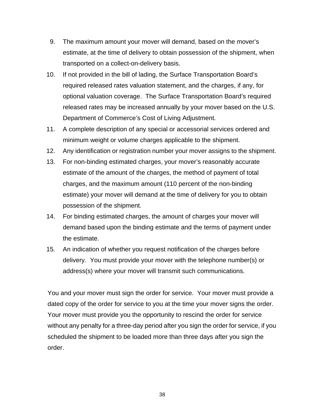- 9. The maximum amount your mover will demand, based on the mover's estimate, at the time of delivery to obtain possession of the shipment, when transported on a collect-on-delivery basis.
- 10. If not provided in the bill of lading, the Surface Transportation Board's required released rates valuation statement, and the charges, if any, for optional valuation coverage. The Surface Transportation Board's required released rates may be increased annually by your mover based on the U.S. Department of Commerce's Cost of Living Adjustment.
- 11. A complete description of any special or accessorial services ordered and minimum weight or volume charges applicable to the shipment.
- 12. Any identification or registration number your mover assigns to the shipment.
- 13. For non-binding estimated charges, your mover's reasonably accurate estimate of the amount of the charges, the method of payment of total charges, and the maximum amount (110 percent of the non-binding estimate) your mover will demand at the time of delivery for you to obtain possession of the shipment.
- 14. For binding estimated charges, the amount of charges your mover will demand based upon the binding estimate and the terms of payment under the estimate.
- 15. An indication of whether you request notification of the charges before delivery. You must provide your mover with the telephone number(s) or address(s) where your mover will transmit such communications.

You and your mover must sign the order for service. Your mover must provide a dated copy of the order for service to you at the time your mover signs the order. Your mover must provide you the opportunity to rescind the order for service without any penalty for a three-day period after you sign the order for service, if you scheduled the shipment to be loaded more than three days after you sign the order.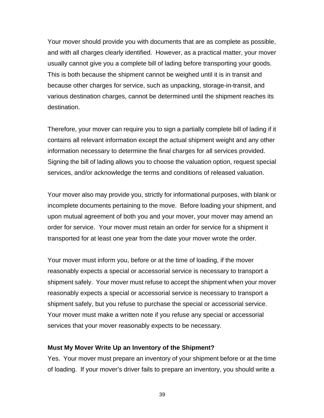Your mover should provide you with documents that are as complete as possible, and with all charges clearly identified. However, as a practical matter, your mover usually cannot give you a complete bill of lading before transporting your goods. This is both because the shipment cannot be weighed until it is in transit and because other charges for service, such as unpacking, storage-in-transit, and various destination charges, cannot be determined until the shipment reaches its destination.

Therefore, your mover can require you to sign a partially complete bill of lading if it contains all relevant information except the actual shipment weight and any other information necessary to determine the final charges for all services provided. Signing the bill of lading allows you to choose the valuation option, request special services, and/or acknowledge the terms and conditions of released valuation.

Your mover also may provide you, strictly for informational purposes, with blank or incomplete documents pertaining to the move. Before loading your shipment, and upon mutual agreement of both you and your mover, your mover may amend an order for service. Your mover must retain an order for service for a shipment it transported for at least one year from the date your mover wrote the order.

Your mover must inform you, before or at the time of loading, if the mover reasonably expects a special or accessorial service is necessary to transport a shipment safely. Your mover must refuse to accept the shipment when your mover reasonably expects a special or accessorial service is necessary to transport a shipment safely, but you refuse to purchase the special or accessorial service. Your mover must make a written note if you refuse any special or accessorial services that your mover reasonably expects to be necessary.

#### **Must My Mover Write Up an Inventory of the Shipment?**

Yes. Your mover must prepare an inventory of your shipment before or at the time of loading. If your mover's driver fails to prepare an inventory, you should write a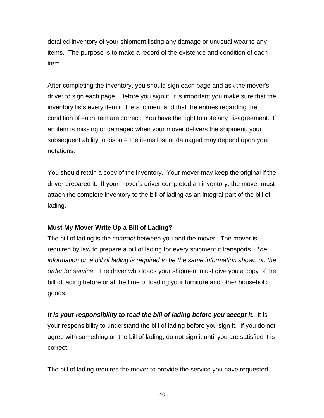detailed inventory of your shipment listing any damage or unusual wear to any items. The purpose is to make a record of the existence and condition of each item.

After completing the inventory, you should sign each page and ask the mover's driver to sign each page. Before you sign it, it is important you make sure that the inventory lists every item in the shipment and that the entries regarding the condition of each item are correct. You have the right to note any disagreement. If an item is missing or damaged when your mover delivers the shipment, your subsequent ability to dispute the items lost or damaged may depend upon your notations.

You should retain a copy of the inventory. Your mover may keep the original if the driver prepared it. If your mover's driver completed an inventory, the mover must attach the complete inventory to the bill of lading as an integral part of the bill of lading.

#### **Must My Mover Write Up a Bill of Lading?**

The bill of lading is the *contract* between you and the mover. The mover is required by law to prepare a bill of lading for every shipment it transports. *The information on a bill of lading is required to be the same information shown on the order for service.* The driver who loads your shipment must give you a copy of the bill of lading before or at the time of loading your furniture and other household goods.

*It is your responsibility to read the bill of lading before you accept it.* It is your responsibility to understand the bill of lading before you sign it. If you do not agree with something on the bill of lading, do not sign it until you are satisfied it is correct.

The bill of lading requires the mover to provide the service you have requested.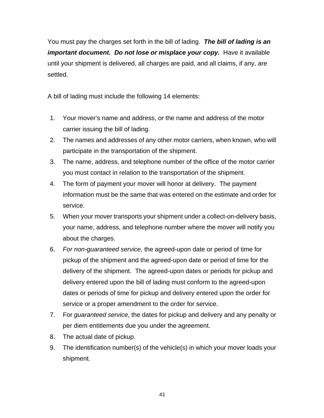You must pay the charges set forth in the bill of lading. *The bill of lading is an important document. Do not lose or misplace your copy. Have it available* until your shipment is delivered, all charges are paid, and all claims, if any, are settled.

A bill of lading must include the following 14 elements:

- 1. Your mover's name and address, or the name and address of the motor carrier issuing the bill of lading.
- 2. The names and addresses of any other motor carriers, when known, who will participate in the transportation of the shipment.
- 3. The name, address, and telephone number of the office of the motor carrier you must contact in relation to the transportation of the shipment.
- 4. The form of payment your mover will honor at delivery. The payment information must be the same that was entered on the estimate and order for service.
- 5. When your mover transports your shipment under a collect-on-delivery basis, your name, address, and telephone number where the mover will notify you about the charges.
- 6. *For non-guaranteed service,* the agreed-upon date or period of time for pickup of the shipment and the agreed-upon date or period of time for the delivery of the shipment. The agreed-upon dates or periods for pickup and delivery entered upon the bill of lading must conform to the agreed-upon dates or periods of time for pickup and delivery entered upon the order for service or a proper amendment to the order for service.
- 7. For *guaranteed service,* the dates for pickup and delivery and any penalty or per diem entitlements due you under the agreement.
- 8. The actual date of pickup.
- 9. The identification number(s) of the vehicle(s) in which your mover loads your shipment.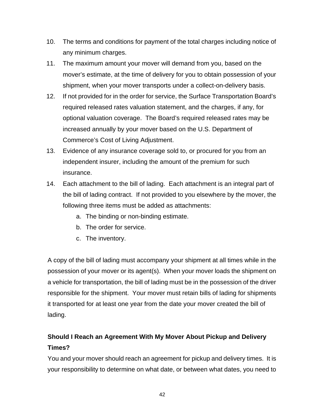- 10. The terms and conditions for payment of the total charges including notice of any minimum charges.
- 11. The maximum amount your mover will demand from you, based on the mover's estimate, at the time of delivery for you to obtain possession of your shipment, when your mover transports under a collect-on-delivery basis.
- 12. If not provided for in the order for service, the Surface Transportation Board's required released rates valuation statement, and the charges, if any, for optional valuation coverage. The Board's required released rates may be increased annually by your mover based on the U.S. Department of Commerce's Cost of Living Adjustment.
- 13. Evidence of any insurance coverage sold to, or procured for you from an independent insurer, including the amount of the premium for such insurance.
- 14. Each attachment to the bill of lading. Each attachment is an integral part of the bill of lading contract. If not provided to you elsewhere by the mover, the following three items must be added as attachments:
	- a. The binding or non-binding estimate.
	- b. The order for service.
	- c. The inventory.

A copy of the bill of lading must accompany your shipment at all times while in the possession of your mover or its agent(s). When your mover loads the shipment on a vehicle for transportation, the bill of lading must be in the possession of the driver responsible for the shipment. Your mover must retain bills of lading for shipments it transported for at least one year from the date your mover created the bill of lading.

# **Should I Reach an Agreement With My Mover About Pickup and Delivery Times?**

You and your mover should reach an agreement for pickup and delivery times. It is your responsibility to determine on what date, or between what dates, you need to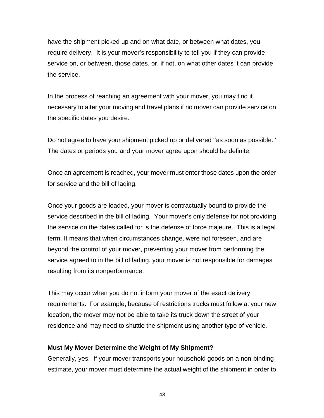have the shipment picked up and on what date, or between what dates, you require delivery. It is your mover's responsibility to tell you if they can provide service on, or between, those dates, or, if not, on what other dates it can provide the service.

In the process of reaching an agreement with your mover, you may find it necessary to alter your moving and travel plans if no mover can provide service on the specific dates you desire.

Do not agree to have your shipment picked up or delivered ''as soon as possible.'' The dates or periods you and your mover agree upon should be definite.

Once an agreement is reached, your mover must enter those dates upon the order for service and the bill of lading.

Once your goods are loaded, your mover is contractually bound to provide the service described in the bill of lading. Your mover's only defense for not providing the service on the dates called for is the defense of force majeure. This is a legal term. It means that when circumstances change, were not foreseen, and are beyond the control of your mover, preventing your mover from performing the service agreed to in the bill of lading, your mover is not responsible for damages resulting from its nonperformance.

This may occur when you do not inform your mover of the exact delivery requirements. For example, because of restrictions trucks must follow at your new location, the mover may not be able to take its truck down the street of your residence and may need to shuttle the shipment using another type of vehicle.

#### **Must My Mover Determine the Weight of My Shipment?**

Generally, yes. If your mover transports your household goods on a non-binding estimate, your mover must determine the actual weight of the shipment in order to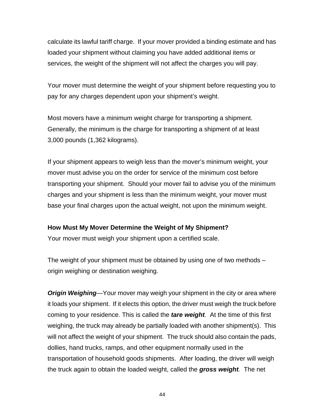calculate its lawful tariff charge. If your mover provided a binding estimate and has loaded your shipment without claiming you have added additional items or services, the weight of the shipment will not affect the charges you will pay.

Your mover must determine the weight of your shipment before requesting you to pay for any charges dependent upon your shipment's weight.

Most movers have a minimum weight charge for transporting a shipment. Generally, the minimum is the charge for transporting a shipment of at least 3,000 pounds (1,362 kilograms).

If your shipment appears to weigh less than the mover's minimum weight, your mover must advise you on the order for service of the minimum cost before transporting your shipment. Should your mover fail to advise you of the minimum charges and your shipment is less than the minimum weight, your mover must base your final charges upon the actual weight, not upon the minimum weight.

#### **How Must My Mover Determine the Weight of My Shipment?**

Your mover must weigh your shipment upon a certified scale.

The weight of your shipment must be obtained by using one of two methods – origin weighing or destination weighing.

*Origin Weighing*—Your mover may weigh your shipment in the city or area where it loads your shipment. If it elects this option, the driver must weigh the truck before coming to your residence. This is called the *tare weight.* At the time of this first weighing, the truck may already be partially loaded with another shipment(s). This will not affect the weight of your shipment. The truck should also contain the pads, dollies, hand trucks, ramps, and other equipment normally used in the transportation of household goods shipments. After loading, the driver will weigh the truck again to obtain the loaded weight, called the *gross weight.* The net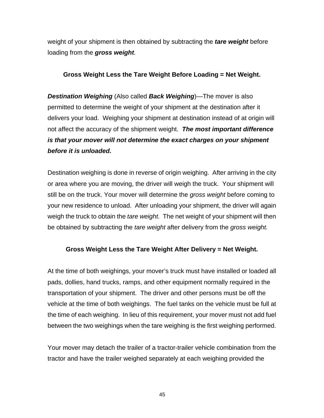weight of your shipment is then obtained by subtracting the *tare weight* before loading from the *gross weight.* 

#### **Gross Weight Less the Tare Weight Before Loading = Net Weight.**

*Destination Weighing* (Also called *Back Weighing*)—The mover is also permitted to determine the weight of your shipment at the destination after it delivers your load. Weighing your shipment at destination instead of at origin will not affect the accuracy of the shipment weight. *The most important difference is that your mover will not determine the exact charges on your shipment before it is unloaded.* 

Destination weighing is done in reverse of origin weighing. After arriving in the city or area where you are moving, the driver will weigh the truck. Your shipment will still be on the truck. Your mover will determine the *gross weight* before coming to your new residence to unload. After unloading your shipment, the driver will again weigh the truck to obtain the *tare weight.* The net weight of your shipment will then be obtained by subtracting the *tare weight* after delivery from the *gross weight.* 

#### **Gross Weight Less the Tare Weight After Delivery = Net Weight.**

At the time of both weighings, your mover's truck must have installed or loaded all pads, dollies, hand trucks, ramps, and other equipment normally required in the transportation of your shipment. The driver and other persons must be off the vehicle at the time of both weighings. The fuel tanks on the vehicle must be full at the time of each weighing. In lieu of this requirement, your mover must not add fuel between the two weighings when the tare weighing is the first weighing performed.

Your mover may detach the trailer of a tractor-trailer vehicle combination from the tractor and have the trailer weighed separately at each weighing provided the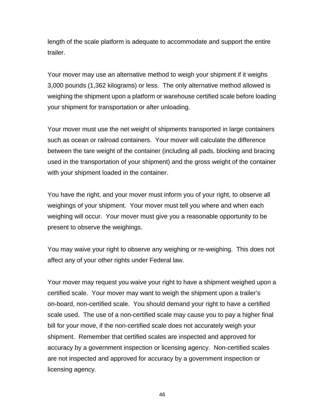length of the scale platform is adequate to accommodate and support the entire trailer.

Your mover may use an alternative method to weigh your shipment if it weighs 3,000 pounds (1,362 kilograms) or less. The only alternative method allowed is weighing the shipment upon a platform or warehouse certified scale before loading your shipment for transportation or after unloading.

Your mover must use the net weight of shipments transported in large containers such as ocean or railroad containers. Your mover will calculate the difference between the tare weight of the container (including all pads, blocking and bracing used in the transportation of your shipment) and the gross weight of the container with your shipment loaded in the container.

You have the right, and your mover must inform you of your right, to observe all weighings of your shipment. Your mover must tell you where and when each weighing will occur. Your mover must give you a reasonable opportunity to be present to observe the weighings.

You may waive your right to observe any weighing or re-weighing. This does not affect any of your other rights under Federal law.

Your mover may request you waive your right to have a shipment weighed upon a certified scale. Your mover may want to weigh the shipment upon a trailer's on-board, non-certified scale. You should demand your right to have a certified scale used. The use of a non-certified scale may cause you to pay a higher final bill for your move, if the non-certified scale does not accurately weigh your shipment. Remember that certified scales are inspected and approved for accuracy by a government inspection or licensing agency. Non-certified scales are not inspected and approved for accuracy by a government inspection or licensing agency.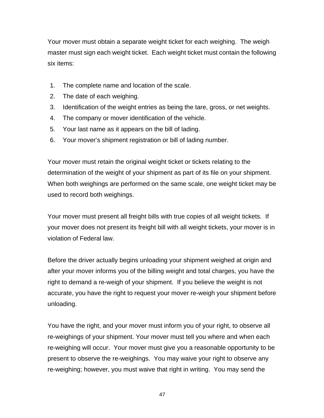Your mover must obtain a separate weight ticket for each weighing. The weigh master must sign each weight ticket. Each weight ticket must contain the following six items:

- 1. The complete name and location of the scale.
- 2. The date of each weighing.
- 3. Identification of the weight entries as being the tare, gross, or net weights.
- 4. The company or mover identification of the vehicle.
- 5. Your last name as it appears on the bill of lading.
- 6. Your mover's shipment registration or bill of lading number.

Your mover must retain the original weight ticket or tickets relating to the determination of the weight of your shipment as part of its file on your shipment. When both weighings are performed on the same scale, one weight ticket may be used to record both weighings.

Your mover must present all freight bills with true copies of all weight tickets. If your mover does not present its freight bill with all weight tickets, your mover is in violation of Federal law.

Before the driver actually begins unloading your shipment weighed at origin and after your mover informs you of the billing weight and total charges, you have the right to demand a re-weigh of your shipment. If you believe the weight is not accurate, you have the right to request your mover re-weigh your shipment before unloading.

You have the right, and your mover must inform you of your right, to observe all re-weighings of your shipment. Your mover must tell you where and when each re-weighing will occur. Your mover must give you a reasonable opportunity to be present to observe the re-weighings. You may waive your right to observe any re-weighing; however, you must waive that right in writing. You may send the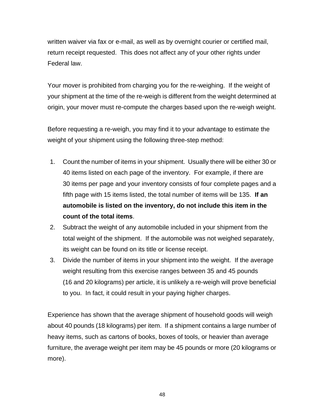written waiver via fax or e-mail, as well as by overnight courier or certified mail, return receipt requested. This does not affect any of your other rights under Federal law.

Your mover is prohibited from charging you for the re-weighing. If the weight of your shipment at the time of the re-weigh is different from the weight determined at origin, your mover must re-compute the charges based upon the re-weigh weight.

Before requesting a re-weigh, you may find it to your advantage to estimate the weight of your shipment using the following three-step method:

- 1. Count the number of items in your shipment. Usually there will be either 30 or 40 items listed on each page of the inventory. For example, if there are 30 items per page and your inventory consists of four complete pages and a fifth page with 15 items listed, the total number of items will be 135. **If an automobile is listed on the inventory, do not include this item in the count of the total items**.
- 2. Subtract the weight of any automobile included in your shipment from the total weight of the shipment. If the automobile was not weighed separately, its weight can be found on its title or license receipt.
- 3. Divide the number of items in your shipment into the weight. If the average weight resulting from this exercise ranges between 35 and 45 pounds (16 and 20 kilograms) per article, it is unlikely a re-weigh will prove beneficial to you. In fact, it could result in your paying higher charges.

Experience has shown that the average shipment of household goods will weigh about 40 pounds (18 kilograms) per item. If a shipment contains a large number of heavy items, such as cartons of books, boxes of tools, or heavier than average furniture, the average weight per item may be 45 pounds or more (20 kilograms or more).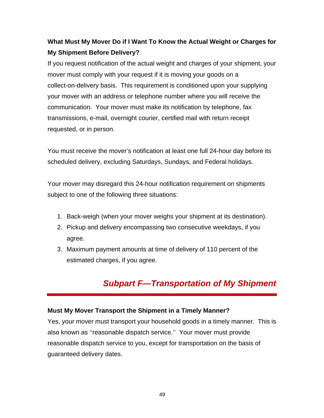# **What Must My Mover Do if I Want To Know the Actual Weight or Charges for My Shipment Before Delivery?**

If you request notification of the actual weight and charges of your shipment, your mover must comply with your request if it is moving your goods on a collect-on-delivery basis. This requirement is conditioned upon your supplying your mover with an address or telephone number where you will receive the communication. Your mover must make its notification by telephone, fax transmissions, e-mail, overnight courier, certified mail with return receipt requested, or in person.

You must receive the mover's notification at least one full 24-hour day before its scheduled delivery, excluding Saturdays, Sundays, and Federal holidays.

Your mover may disregard this 24-hour notification requirement on shipments subject to one of the following three situations:

- 1. Back-weigh (when your mover weighs your shipment at its destination).
- 2. Pickup and delivery encompassing two consecutive weekdays, if you agree.
- 3. Maximum payment amounts at time of delivery of 110 percent of the estimated charges, if you agree.

# *Subpart F—Transportation of My Shipment*

#### **Must My Mover Transport the Shipment in a Timely Manner?**

Yes, your mover must transport your household goods in a timely manner. This is also known as ''reasonable dispatch service.'' Your mover must provide reasonable dispatch service to you, except for transportation on the basis of guaranteed delivery dates.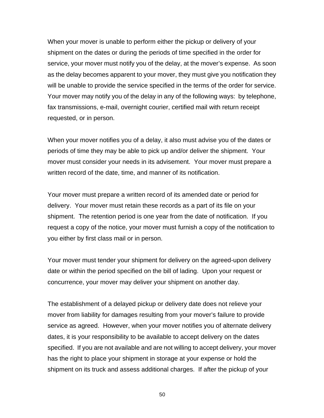When your mover is unable to perform either the pickup or delivery of your shipment on the dates or during the periods of time specified in the order for service, your mover must notify you of the delay, at the mover's expense. As soon as the delay becomes apparent to your mover, they must give you notification they will be unable to provide the service specified in the terms of the order for service. Your mover may notify you of the delay in any of the following ways: by telephone, fax transmissions, e-mail, overnight courier, certified mail with return receipt requested, or in person.

When your mover notifies you of a delay, it also must advise you of the dates or periods of time they may be able to pick up and/or deliver the shipment. Your mover must consider your needs in its advisement. Your mover must prepare a written record of the date, time, and manner of its notification.

Your mover must prepare a written record of its amended date or period for delivery. Your mover must retain these records as a part of its file on your shipment. The retention period is one year from the date of notification. If you request a copy of the notice, your mover must furnish a copy of the notification to you either by first class mail or in person.

Your mover must tender your shipment for delivery on the agreed-upon delivery date or within the period specified on the bill of lading. Upon your request or concurrence, your mover may deliver your shipment on another day.

The establishment of a delayed pickup or delivery date does not relieve your mover from liability for damages resulting from your mover's failure to provide service as agreed. However, when your mover notifies you of alternate delivery dates, it is your responsibility to be available to accept delivery on the dates specified. If you are not available and are not willing to accept delivery, your mover has the right to place your shipment in storage at your expense or hold the shipment on its truck and assess additional charges. If after the pickup of your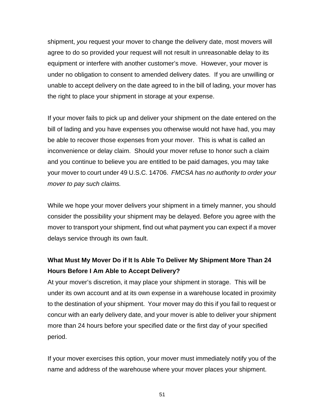shipment, *you* request your mover to change the delivery date, most movers will agree to do so provided your request will not result in unreasonable delay to its equipment or interfere with another customer's move. However, your mover is under no obligation to consent to amended delivery dates. If you are unwilling or unable to accept delivery on the date agreed to in the bill of lading, your mover has the right to place your shipment in storage at your expense.

If your mover fails to pick up and deliver your shipment on the date entered on the bill of lading and you have expenses you otherwise would not have had, you may be able to recover those expenses from your mover. This is what is called an inconvenience or delay claim. Should your mover refuse to honor such a claim and you continue to believe you are entitled to be paid damages, you may take your mover to court under 49 U.S.C. 14706. *FMCSA has no authority to order your mover to pay such claims.* 

While we hope your mover delivers your shipment in a timely manner, you should consider the possibility your shipment may be delayed. Before you agree with the mover to transport your shipment, find out what payment you can expect if a mover delays service through its own fault.

## **What Must My Mover Do if It Is Able To Deliver My Shipment More Than 24 Hours Before I Am Able to Accept Delivery?**

At your mover's discretion, it may place your shipment in storage. This will be under its own account and at its own expense in a warehouse located in proximity to the destination of your shipment. Your mover may do this if you fail to request or concur with an early delivery date, and your mover is able to deliver your shipment more than 24 hours before your specified date or the first day of your specified period.

If your mover exercises this option, your mover must immediately notify you of the name and address of the warehouse where your mover places your shipment.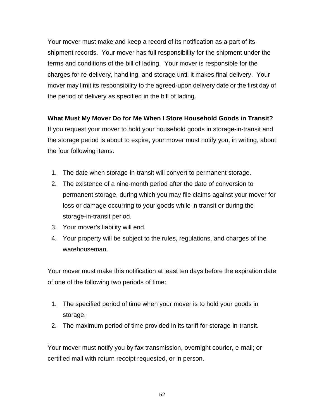Your mover must make and keep a record of its notification as a part of its shipment records. Your mover has full responsibility for the shipment under the terms and conditions of the bill of lading. Your mover is responsible for the charges for re-delivery, handling, and storage until it makes final delivery. Your mover may limit its responsibility to the agreed-upon delivery date or the first day of the period of delivery as specified in the bill of lading.

#### **What Must My Mover Do for Me When I Store Household Goods in Transit?**

If you request your mover to hold your household goods in storage-in-transit and the storage period is about to expire, your mover must notify you, in writing, about the four following items:

- 1. The date when storage-in-transit will convert to permanent storage.
- 2. The existence of a nine-month period after the date of conversion to permanent storage, during which you may file claims against your mover for loss or damage occurring to your goods while in transit or during the storage-in-transit period.
- 3. Your mover's liability will end.
- 4. Your property will be subject to the rules, regulations, and charges of the warehouseman.

Your mover must make this notification at least ten days before the expiration date of one of the following two periods of time:

- 1. The specified period of time when your mover is to hold your goods in storage.
- 2. The maximum period of time provided in its tariff for storage-in-transit.

Your mover must notify you by fax transmission, overnight courier, e-mail; or certified mail with return receipt requested, or in person.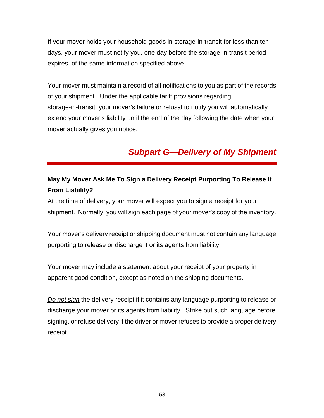If your mover holds your household goods in storage-in-transit for less than ten days, your mover must notify you, one day before the storage-in-transit period expires, of the same information specified above.

Your mover must maintain a record of all notifications to you as part of the records of your shipment. Under the applicable tariff provisions regarding storage-in-transit, your mover's failure or refusal to notify you will automatically extend your mover's liability until the end of the day following the date when your mover actually gives you notice.

# *Subpart G—Delivery of My Shipment*

## **May My Mover Ask Me To Sign a Delivery Receipt Purporting To Release It From Liability?**

At the time of delivery, your mover will expect you to sign a receipt for your shipment. Normally, you will sign each page of your mover's copy of the inventory.

Your mover's delivery receipt or shipping document must not contain any language purporting to release or discharge it or its agents from liability.

Your mover may include a statement about your receipt of your property in apparent good condition, except as noted on the shipping documents.

*Do not sign* the delivery receipt if it contains any language purporting to release or discharge your mover or its agents from liability. Strike out such language before signing, or refuse delivery if the driver or mover refuses to provide a proper delivery receipt.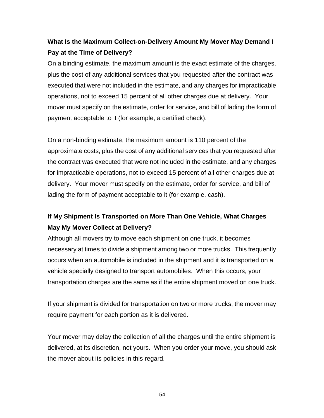# **What Is the Maximum Collect-on-Delivery Amount My Mover May Demand I Pay at the Time of Delivery?**

On a binding estimate, the maximum amount is the exact estimate of the charges, plus the cost of any additional services that you requested after the contract was executed that were not included in the estimate, and any charges for impracticable operations, not to exceed 15 percent of all other charges due at delivery. Your mover must specify on the estimate, order for service, and bill of lading the form of payment acceptable to it (for example, a certified check).

On a non-binding estimate, the maximum amount is 110 percent of the approximate costs, plus the cost of any additional services that you requested after the contract was executed that were not included in the estimate, and any charges for impracticable operations, not to exceed 15 percent of all other charges due at delivery. Your mover must specify on the estimate, order for service, and bill of lading the form of payment acceptable to it (for example, cash).

## **If My Shipment Is Transported on More Than One Vehicle, What Charges May My Mover Collect at Delivery?**

Although all movers try to move each shipment on one truck, it becomes necessary at times to divide a shipment among two or more trucks. This frequently occurs when an automobile is included in the shipment and it is transported on a vehicle specially designed to transport automobiles. When this occurs, your transportation charges are the same as if the entire shipment moved on one truck.

If your shipment is divided for transportation on two or more trucks, the mover may require payment for each portion as it is delivered.

Your mover may delay the collection of all the charges until the entire shipment is delivered, at its discretion, not yours. When you order your move, you should ask the mover about its policies in this regard.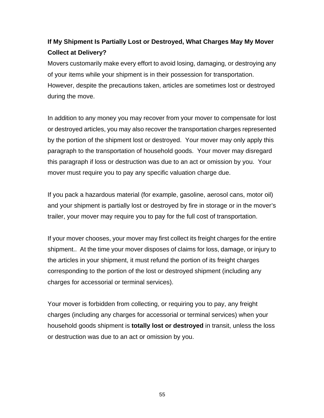# **If My Shipment Is Partially Lost or Destroyed, What Charges May My Mover Collect at Delivery?**

Movers customarily make every effort to avoid losing, damaging, or destroying any of your items while your shipment is in their possession for transportation. However, despite the precautions taken, articles are sometimes lost or destroyed during the move.

In addition to any money you may recover from your mover to compensate for lost or destroyed articles, you may also recover the transportation charges represented by the portion of the shipment lost or destroyed. Your mover may only apply this paragraph to the transportation of household goods. Your mover may disregard this paragraph if loss or destruction was due to an act or omission by you. Your mover must require you to pay any specific valuation charge due.

If you pack a hazardous material (for example, gasoline, aerosol cans, motor oil) and your shipment is partially lost or destroyed by fire in storage or in the mover's trailer, your mover may require you to pay for the full cost of transportation.

If your mover chooses, your mover may first collect its freight charges for the entire shipment.. At the time your mover disposes of claims for loss, damage, or injury to the articles in your shipment, it must refund the portion of its freight charges corresponding to the portion of the lost or destroyed shipment (including any charges for accessorial or terminal services).

Your mover is forbidden from collecting, or requiring you to pay, any freight charges (including any charges for accessorial or terminal services) when your household goods shipment is **totally lost or destroyed** in transit, unless the loss or destruction was due to an act or omission by you.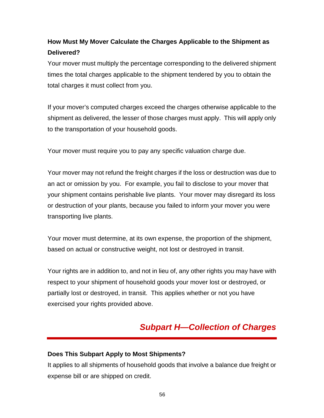# **How Must My Mover Calculate the Charges Applicable to the Shipment as Delivered?**

Your mover must multiply the percentage corresponding to the delivered shipment times the total charges applicable to the shipment tendered by you to obtain the total charges it must collect from you.

If your mover's computed charges exceed the charges otherwise applicable to the shipment as delivered, the lesser of those charges must apply. This will apply only to the transportation of your household goods.

Your mover must require you to pay any specific valuation charge due.

Your mover may not refund the freight charges if the loss or destruction was due to an act or omission by you. For example, you fail to disclose to your mover that your shipment contains perishable live plants. Your mover may disregard its loss or destruction of your plants, because you failed to inform your mover you were transporting live plants.

Your mover must determine, at its own expense, the proportion of the shipment, based on actual or constructive weight, not lost or destroyed in transit.

Your rights are in addition to, and not in lieu of, any other rights you may have with respect to your shipment of household goods your mover lost or destroyed, or partially lost or destroyed, in transit. This applies whether or not you have exercised your rights provided above.

# *Subpart H—Collection of Charges*

#### **Does This Subpart Apply to Most Shipments?**

It applies to all shipments of household goods that involve a balance due freight or expense bill or are shipped on credit.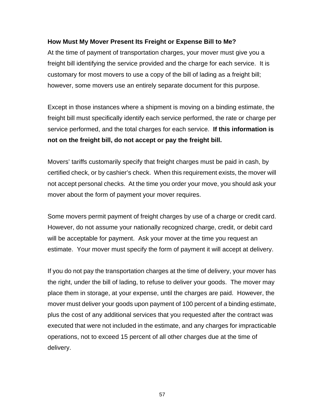#### **How Must My Mover Present Its Freight or Expense Bill to Me?**

At the time of payment of transportation charges, your mover must give you a freight bill identifying the service provided and the charge for each service. It is customary for most movers to use a copy of the bill of lading as a freight bill; however, some movers use an entirely separate document for this purpose.

Except in those instances where a shipment is moving on a binding estimate, the freight bill must specifically identify each service performed, the rate or charge per service performed, and the total charges for each service. **If this information is not on the freight bill, do not accept or pay the freight bill.** 

Movers' tariffs customarily specify that freight charges must be paid in cash, by certified check, or by cashier's check. When this requirement exists, the mover will not accept personal checks. At the time you order your move, you should ask your mover about the form of payment your mover requires.

Some movers permit payment of freight charges by use of a charge or credit card. However, do not assume your nationally recognized charge, credit, or debit card will be acceptable for payment. Ask your mover at the time you request an estimate. Your mover must specify the form of payment it will accept at delivery.

If you do not pay the transportation charges at the time of delivery, your mover has the right, under the bill of lading, to refuse to deliver your goods. The mover may place them in storage, at your expense, until the charges are paid. However, the mover must deliver your goods upon payment of 100 percent of a binding estimate, plus the cost of any additional services that you requested after the contract was executed that were not included in the estimate, and any charges for impracticable operations, not to exceed 15 percent of all other charges due at the time of delivery.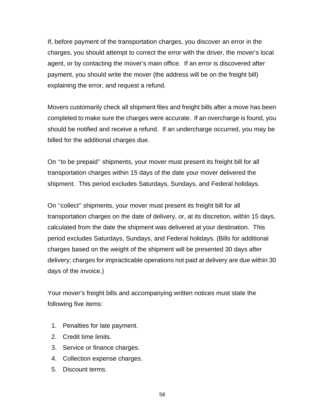If, before payment of the transportation charges, you discover an error in the charges, you should attempt to correct the error with the driver, the mover's local agent, or by contacting the mover's main office. If an error is discovered after payment, you should write the mover (the address will be on the freight bill) explaining the error, and request a refund.

Movers customarily check all shipment files and freight bills after a move has been completed to make sure the charges were accurate. If an overcharge is found, you should be notified and receive a refund. If an undercharge occurred, you may be billed for the additional charges due.

On ''to be prepaid'' shipments, your mover must present its freight bill for all transportation charges within 15 days of the date your mover delivered the shipment. This period excludes Saturdays, Sundays, and Federal holidays.

On ''collect'' shipments, your mover must present its freight bill for all transportation charges on the date of delivery, or, at its discretion, within 15 days, calculated from the date the shipment was delivered at your destination. This period excludes Saturdays, Sundays, and Federal holidays. (Bills for additional charges based on the weight of the shipment will be presented 30 days after delivery; charges for impracticable operations not paid at delivery are due within 30 days of the invoice.)

Your mover's freight bills and accompanying written notices must state the following five items:

- 1. Penalties for late payment.
- 2. Credit time limits.
- 3. Service or finance charges.
- 4. Collection expense charges.
- 5. Discount terms.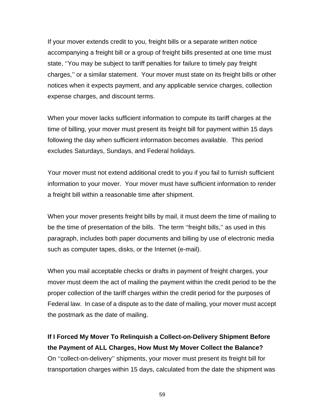If your mover extends credit to you, freight bills or a separate written notice accompanying a freight bill or a group of freight bills presented at one time must state, ''You may be subject to tariff penalties for failure to timely pay freight charges,'' or a similar statement. Your mover must state on its freight bills or other notices when it expects payment, and any applicable service charges, collection expense charges, and discount terms.

When your mover lacks sufficient information to compute its tariff charges at the time of billing, your mover must present its freight bill for payment within 15 days following the day when sufficient information becomes available. This period excludes Saturdays, Sundays, and Federal holidays.

Your mover must not extend additional credit to you if you fail to furnish sufficient information to your mover. Your mover must have sufficient information to render a freight bill within a reasonable time after shipment.

When your mover presents freight bills by mail, it must deem the time of mailing to be the time of presentation of the bills. The term ''freight bills,'' as used in this paragraph, includes both paper documents and billing by use of electronic media such as computer tapes, disks, or the Internet (e-mail).

When you mail acceptable checks or drafts in payment of freight charges, your mover must deem the act of mailing the payment within the credit period to be the proper collection of the tariff charges within the credit period for the purposes of Federal law. In case of a dispute as to the date of mailing, your mover must accept the postmark as the date of mailing.

**If I Forced My Mover To Relinquish a Collect-on-Delivery Shipment Before the Payment of ALL Charges, How Must My Mover Collect the Balance?**  On ''collect-on-delivery'' shipments, your mover must present its freight bill for transportation charges within 15 days, calculated from the date the shipment was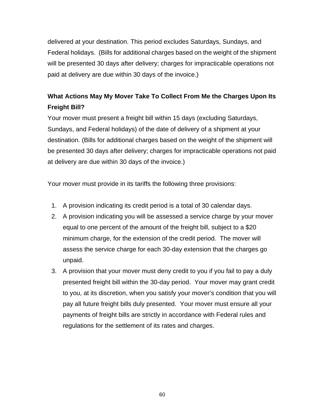delivered at your destination. This period excludes Saturdays, Sundays, and Federal holidays. (Bills for additional charges based on the weight of the shipment will be presented 30 days after delivery; charges for impracticable operations not paid at delivery are due within 30 days of the invoice.)

## **What Actions May My Mover Take To Collect From Me the Charges Upon Its Freight Bill?**

Your mover must present a freight bill within 15 days (excluding Saturdays, Sundays, and Federal holidays) of the date of delivery of a shipment at your destination. (Bills for additional charges based on the weight of the shipment will be presented 30 days after delivery; charges for impracticable operations not paid at delivery are due within 30 days of the invoice.)

Your mover must provide in its tariffs the following three provisions:

- 1. A provision indicating its credit period is a total of 30 calendar days.
- 2. A provision indicating you will be assessed a service charge by your mover equal to one percent of the amount of the freight bill, subject to a \$20 minimum charge, for the extension of the credit period. The mover will assess the service charge for each 30-day extension that the charges go unpaid.
- 3. A provision that your mover must deny credit to you if you fail to pay a duly presented freight bill within the 30-day period. Your mover may grant credit to you, at its discretion, when you satisfy your mover's condition that you will pay all future freight bills duly presented. Your mover must ensure all your payments of freight bills are strictly in accordance with Federal rules and regulations for the settlement of its rates and charges.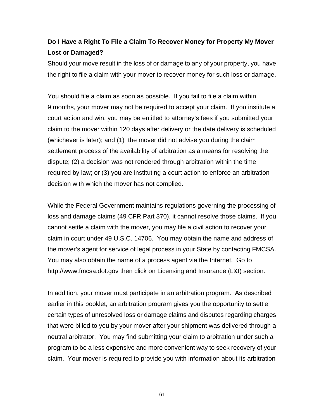## **Do I Have a Right To File a Claim To Recover Money for Property My Mover Lost or Damaged?**

Should your move result in the loss of or damage to any of your property, you have the right to file a claim with your mover to recover money for such loss or damage.

You should file a claim as soon as possible. If you fail to file a claim within 9 months, your mover may not be required to accept your claim. If you institute a court action and win, you may be entitled to attorney's fees if you submitted your claim to the mover within 120 days after delivery or the date delivery is scheduled (whichever is later); and (1) the mover did not advise you during the claim settlement process of the availability of arbitration as a means for resolving the dispute; (2) a decision was not rendered through arbitration within the time required by law; or (3) you are instituting a court action to enforce an arbitration decision with which the mover has not complied.

While the Federal Government maintains regulations governing the processing of loss and damage claims (49 CFR Part 370), it cannot resolve those claims. If you cannot settle a claim with the mover, you may file a civil action to recover your claim in court under 49 U.S.C. 14706. You may obtain the name and address of the mover's agent for service of legal process in your State by contacting FMCSA. You may also obtain the name of a process agent via the Internet. Go to http://www.fmcsa.dot.gov then click on Licensing and Insurance (L&I) section.

In addition, your mover must participate in an arbitration program. As described earlier in this booklet, an arbitration program gives you the opportunity to settle certain types of unresolved loss or damage claims and disputes regarding charges that were billed to you by your mover after your shipment was delivered through a neutral arbitrator. You may find submitting your claim to arbitration under such a program to be a less expensive and more convenient way to seek recovery of your claim. Your mover is required to provide you with information about its arbitration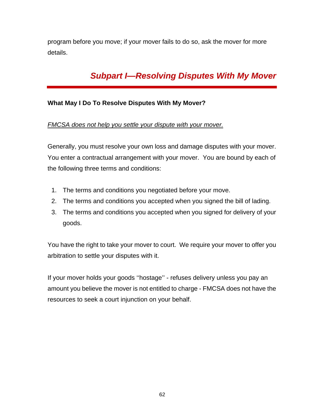program before you move; if your mover fails to do so, ask the mover for more details.

# *Subpart I—Resolving Disputes With My Mover*

#### **What May I Do To Resolve Disputes With My Mover?**

#### *FMCSA does not help you settle your dispute with your mover.*

Generally, you must resolve your own loss and damage disputes with your mover. You enter a contractual arrangement with your mover. You are bound by each of the following three terms and conditions:

- 1. The terms and conditions you negotiated before your move.
- 2. The terms and conditions you accepted when you signed the bill of lading.
- 3. The terms and conditions you accepted when you signed for delivery of your goods.

You have the right to take your mover to court. We require your mover to offer you arbitration to settle your disputes with it.

If your mover holds your goods ''hostage'' - refuses delivery unless you pay an amount you believe the mover is not entitled to charge - FMCSA does not have the resources to seek a court injunction on your behalf.